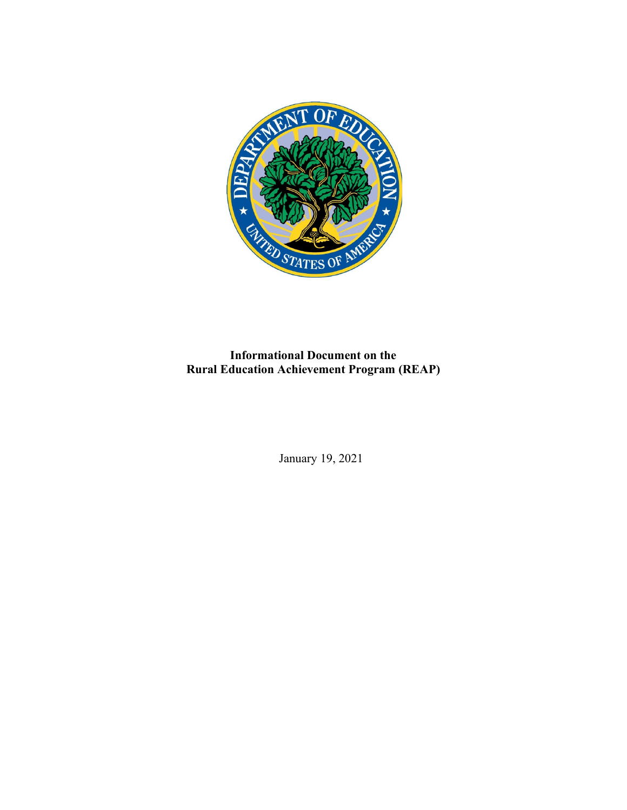

**Informational Document on the Rural Education Achievement Program (REAP)**

January 19, 2021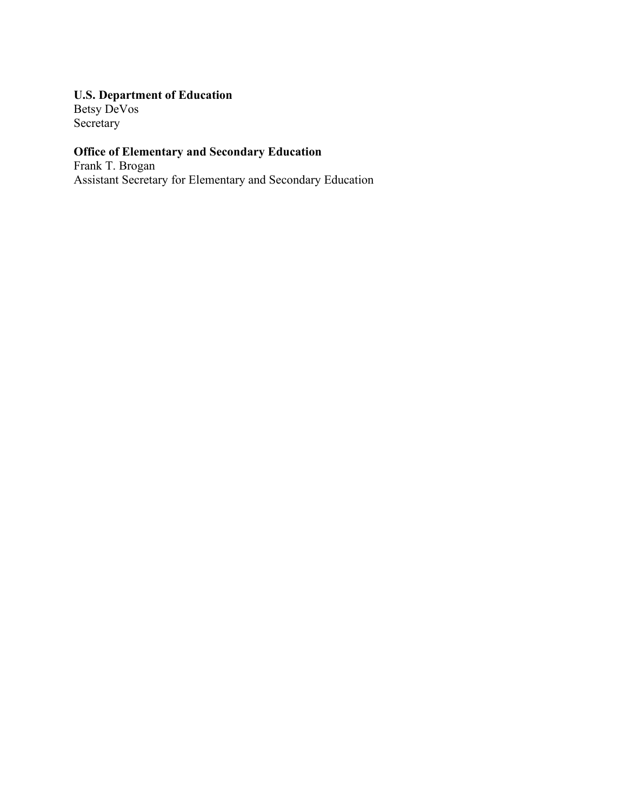# **U.S. Department of Education**

Betsy DeVos Secretary

# **Office of Elementary and Secondary Education**

Frank T. Brogan Assistant Secretary for Elementary and Secondary Education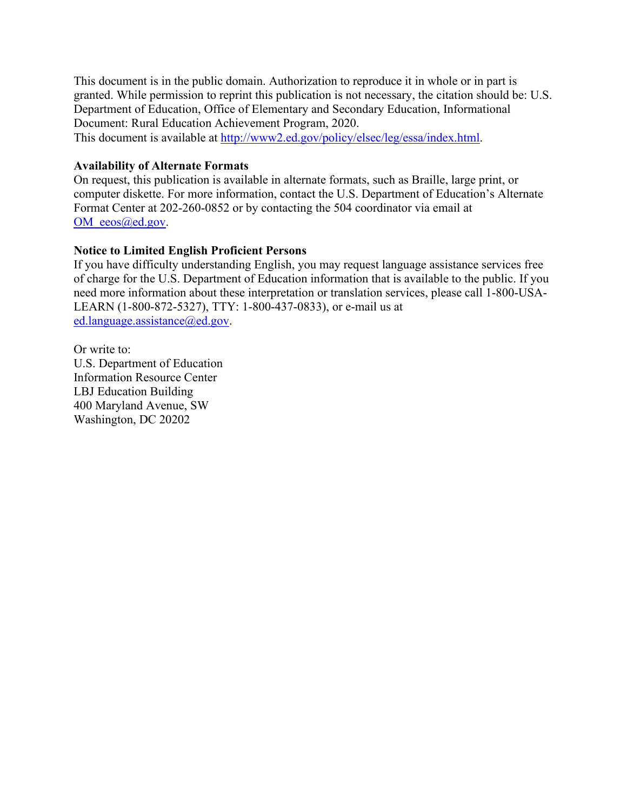This document is in the public domain. Authorization to reproduce it in whole or in part is granted. While permission to reprint this publication is not necessary, the citation should be: U.S. Department of Education, Office of Elementary and Secondary Education, Informational Document: Rural Education Achievement Program, 2020.

This document is available at [http://www2.ed.gov/policy/elsec/leg/essa/index.html.](http://www2.ed.gov/policy/elsec/leg/essa/index.html)

#### **Availability of Alternate Formats**

On request, this publication is available in alternate formats, such as Braille, large print, or computer diskette. For more information, contact the U.S. Department of Education's Alternate Format Center at 202-260-0852 or by contacting the 504 coordinator via email at [OM\\_eeos@ed.gov.](mailto:OM_eeos@ed.gov)

### **Notice to Limited English Proficient Persons**

If you have difficulty understanding English, you may request language assistance services free of charge for the U.S. Department of Education information that is available to the public. If you need more information about these interpretation or translation services, please call 1-800-USA-LEARN (1-800-872-5327), TTY: 1-800-437-0833), or e-mail us at [ed.language.assistance@ed.gov.](mailto:ed.language.assistance@ed.gov)

Or write to: U.S. Department of Education Information Resource Center LBJ Education Building 400 Maryland Avenue, SW Washington, DC 20202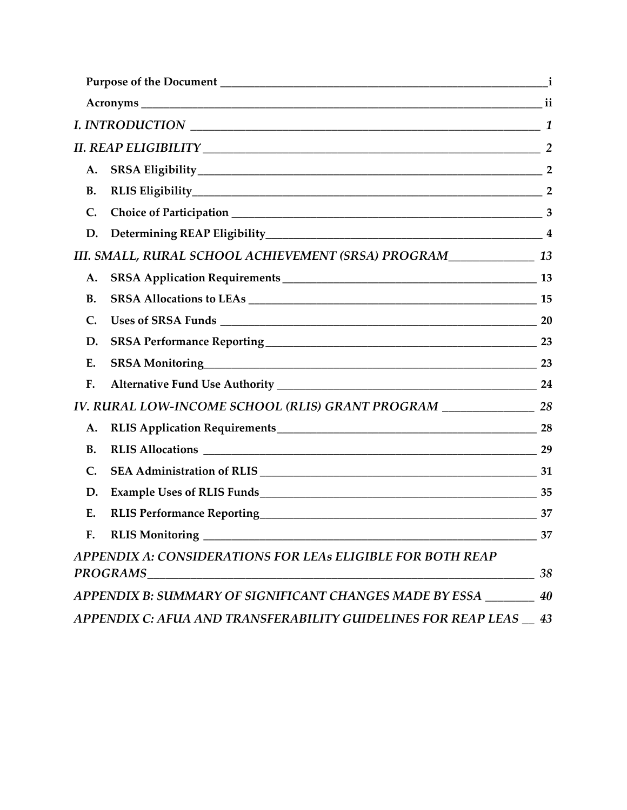| А.        |                                                                        |    |
|-----------|------------------------------------------------------------------------|----|
| <b>B.</b> | RLIS Eligibility 2                                                     |    |
| C.        |                                                                        |    |
| D.        |                                                                        |    |
|           | III. SMALL, RURAL SCHOOL ACHIEVEMENT (SRSA) PROGRAM________________ 13 |    |
| A.        |                                                                        |    |
| <b>B.</b> |                                                                        |    |
| C.        |                                                                        |    |
| D.        |                                                                        |    |
| Ε.        | SRSA Monitoring 23                                                     |    |
| F.        |                                                                        |    |
|           | IV. RURAL LOW-INCOME SCHOOL (RLIS) GRANT PROGRAM __________________ 28 |    |
| A.        |                                                                        |    |
| <b>B.</b> |                                                                        |    |
| C.        |                                                                        |    |
| D.        |                                                                        |    |
| E.        |                                                                        | 37 |
|           |                                                                        | 37 |
|           | APPENDIX A: CONSIDERATIONS FOR LEAs ELIGIBLE FOR BOTH REAP             | 38 |
|           | APPENDIX B: SUMMARY OF SIGNIFICANT CHANGES MADE BY ESSA ________ 40    |    |
|           |                                                                        |    |
|           | APPENDIX C: AFUA AND TRANSFERABILITY GUIDELINES FOR REAP LEAS 43       |    |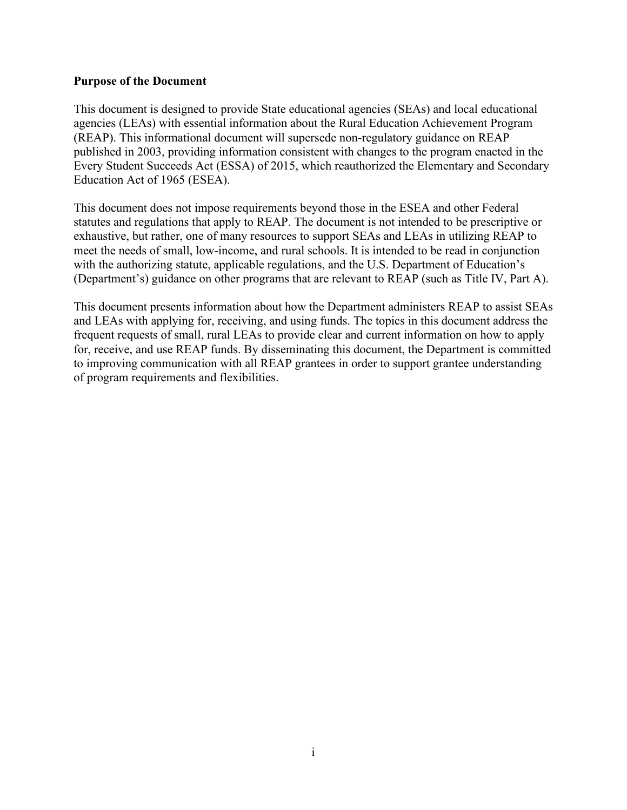#### <span id="page-4-0"></span>**Purpose of the Document**

This document is designed to provide State educational agencies (SEAs) and local educational agencies (LEAs) with essential information about the Rural Education Achievement Program (REAP). This informational document will supersede non-regulatory guidance on REAP published in 2003, providing information consistent with changes to the program enacted in the Every Student Succeeds Act (ESSA) of 2015, which reauthorized the Elementary and Secondary Education Act of 1965 (ESEA).

This document does not impose requirements beyond those in the ESEA and other Federal statutes and regulations that apply to REAP. The document is not intended to be prescriptive or exhaustive, but rather, one of many resources to support SEAs and LEAs in utilizing REAP to meet the needs of small, low-income, and rural schools. It is intended to be read in conjunction with the authorizing statute, applicable regulations, and the U.S. Department of Education's (Department's) guidance on other programs that are relevant to REAP (such as Title IV, Part A).

This document presents information about how the Department administers REAP to assist SEAs and LEAs with applying for, receiving, and using funds. The topics in this document address the frequent requests of small, rural LEAs to provide clear and current information on how to apply for, receive, and use REAP funds. By disseminating this document, the Department is committed to improving communication with all REAP grantees in order to support grantee understanding of program requirements and flexibilities.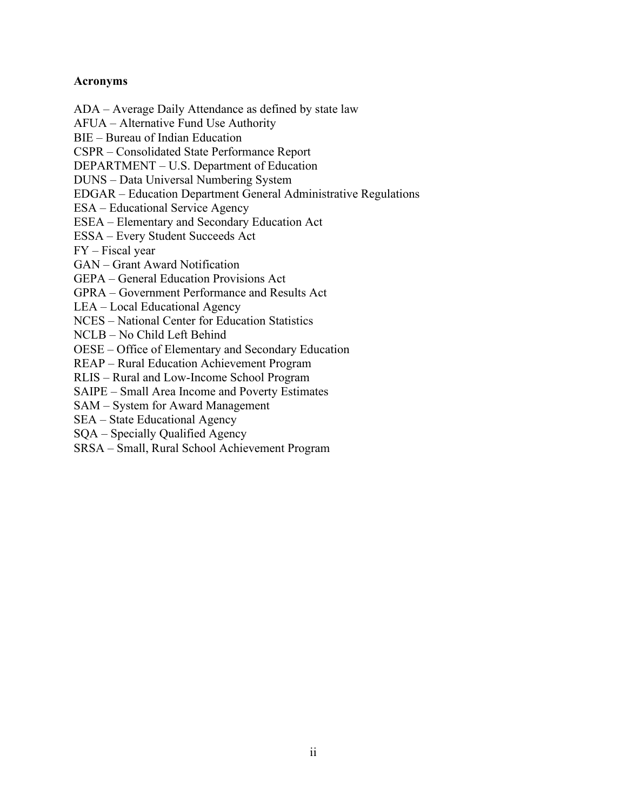### <span id="page-5-0"></span>**Acronyms**

AFUA – Alternative Fund Use Authority BIE – Bureau of Indian Education CSPR – Consolidated State Performance Report DEPARTMENT – U.S. Department of Education DUNS – Data Universal Numbering System EDGAR – Education Department General Administrative Regulations ESA – Educational Service Agency ESEA – Elementary and Secondary Education Act ESSA – Every Student Succeeds Act FY – Fiscal year GAN – Grant Award Notification GEPA – General Education Provisions Act GPRA – Government Performance and Results Act LEA – Local Educational Agency NCES – National Center for Education Statistics NCLB – No Child Left Behind OESE – Office of Elementary and Secondary Education REAP – Rural Education Achievement Program RLIS – Rural and Low-Income School Program

ADA – Average Daily Attendance as defined by state law

SAIPE – Small Area Income and Poverty Estimates

SAM – System for Award Management

SEA – State Educational Agency

SQA – Specially Qualified Agency

SRSA – Small, Rural School Achievement Program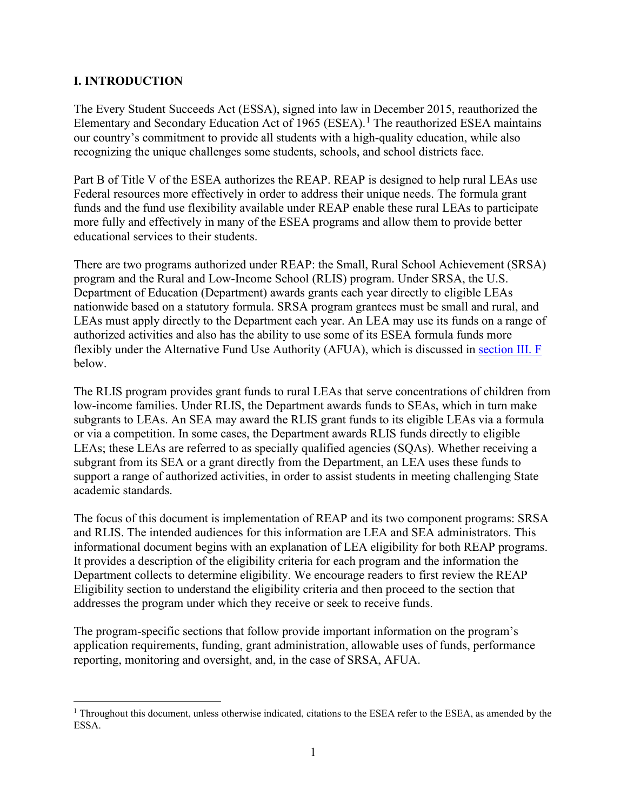### <span id="page-6-0"></span>**I. INTRODUCTION**

The Every Student Succeeds Act (ESSA), signed into law in December 2015, reauthorized the Elementary and Secondary Education Act of [1](#page-6-1)965 (ESEA).<sup>1</sup> The reauthorized ESEA maintains our country's commitment to provide all students with a high-quality education, while also recognizing the unique challenges some students, schools, and school districts face.

Part B of Title V of the ESEA authorizes the REAP. REAP is designed to help rural LEAs use Federal resources more effectively in order to address their unique needs. The formula grant funds and the fund use flexibility available under REAP enable these rural LEAs to participate more fully and effectively in many of the ESEA programs and allow them to provide better educational services to their students.

There are two programs authorized under REAP: the Small, Rural School Achievement (SRSA) program and the Rural and Low-Income School (RLIS) program. Under SRSA, the U.S. Department of Education (Department) awards grants each year directly to eligible LEAs nationwide based on a statutory formula. SRSA program grantees must be small and rural, and LEAs must apply directly to the Department each year. An LEA may use its funds on a range of authorized activities and also has the ability to use some of its ESEA formula funds more flexibly under the Alternative Fund Use Authority (AFUA), which is discussed in [section III. F](#page-29-0) below.

The RLIS program provides grant funds to rural LEAs that serve concentrations of children from low-income families. Under RLIS, the Department awards funds to SEAs, which in turn make subgrants to LEAs. An SEA may award the RLIS grant funds to its eligible LEAs via a formula or via a competition. In some cases, the Department awards RLIS funds directly to eligible LEAs; these LEAs are referred to as specially qualified agencies (SQAs). Whether receiving a subgrant from its SEA or a grant directly from the Department, an LEA uses these funds to support a range of authorized activities, in order to assist students in meeting challenging State academic standards.

The focus of this document is implementation of REAP and its two component programs: SRSA and RLIS. The intended audiences for this information are LEA and SEA administrators. This informational document begins with an explanation of LEA eligibility for both REAP programs. It provides a description of the eligibility criteria for each program and the information the Department collects to determine eligibility. We encourage readers to first review the REAP Eligibility section to understand the eligibility criteria and then proceed to the section that addresses the program under which they receive or seek to receive funds.

The program-specific sections that follow provide important information on the program's application requirements, funding, grant administration, allowable uses of funds, performance reporting, monitoring and oversight, and, in the case of SRSA, AFUA.

<span id="page-6-1"></span><sup>&</sup>lt;sup>1</sup> Throughout this document, unless otherwise indicated, citations to the ESEA refer to the ESEA, as amended by the ESSA.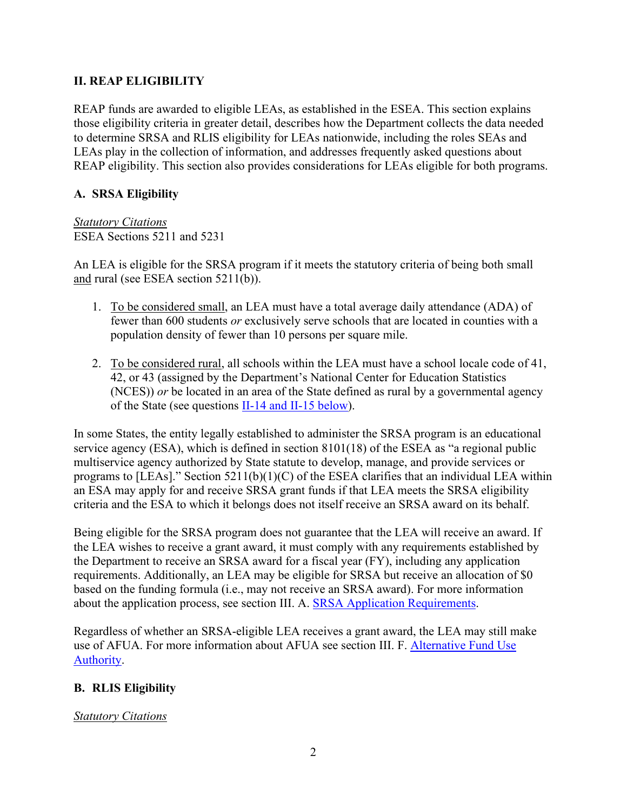# <span id="page-7-0"></span>**II. REAP ELIGIBILITY**

REAP funds are awarded to eligible LEAs, as established in the ESEA. This section explains those eligibility criteria in greater detail, describes how the Department collects the data needed to determine SRSA and RLIS eligibility for LEAs nationwide, including the roles SEAs and LEAs play in the collection of information, and addresses frequently asked questions about REAP eligibility. This section also provides considerations for LEAs eligible for both programs.

# <span id="page-7-1"></span>**A. SRSA Eligibility**

*Statutory Citations* ESEA Sections 5211 and 5231

An LEA is eligible for the SRSA program if it meets the statutory criteria of being both small and rural (see ESEA section 5211(b)).

- 1. To be considered small, an LEA must have a total average daily attendance (ADA) of fewer than 600 students *or* exclusively serve schools that are located in counties with a population density of fewer than 10 persons per square mile.
- 2. To be considered rural, all schools within the LEA must have a school locale code of 41, 42, or 43 (assigned by the Department's National Center for Education Statistics (NCES)) *or* be located in an area of the State defined as rural by a governmental agency of the State (see questions  $II-14$  and  $II-15$  below).

In some States, the entity legally established to administer the SRSA program is an educational service agency (ESA), which is defined in section 8101(18) of the ESEA as "a regional public multiservice agency authorized by State statute to develop, manage, and provide services or programs to [LEAs]." Section  $5211(b)(1)(C)$  of the ESEA clarifies that an individual LEA within an ESA may apply for and receive SRSA grant funds if that LEA meets the SRSA eligibility criteria and the ESA to which it belongs does not itself receive an SRSA award on its behalf.

Being eligible for the SRSA program does not guarantee that the LEA will receive an award. If the LEA wishes to receive a grant award, it must comply with any requirements established by the Department to receive an SRSA award for a fiscal year (FY), including any application requirements. Additionally, an LEA may be eligible for SRSA but receive an allocation of \$0 based on the funding formula (i.e., may not receive an SRSA award). For more information about the application process, see section III. A. [SRSA Application Requirements.](#page-18-1)

Regardless of whether an SRSA-eligible LEA receives a grant award, the LEA may still make use of AFUA. For more information about AFUA see section III. F. [Alternative Fund Use](#page-29-0)  [Authority.](#page-29-0)

# <span id="page-7-2"></span>**B. RLIS Eligibility**

# *Statutory Citations*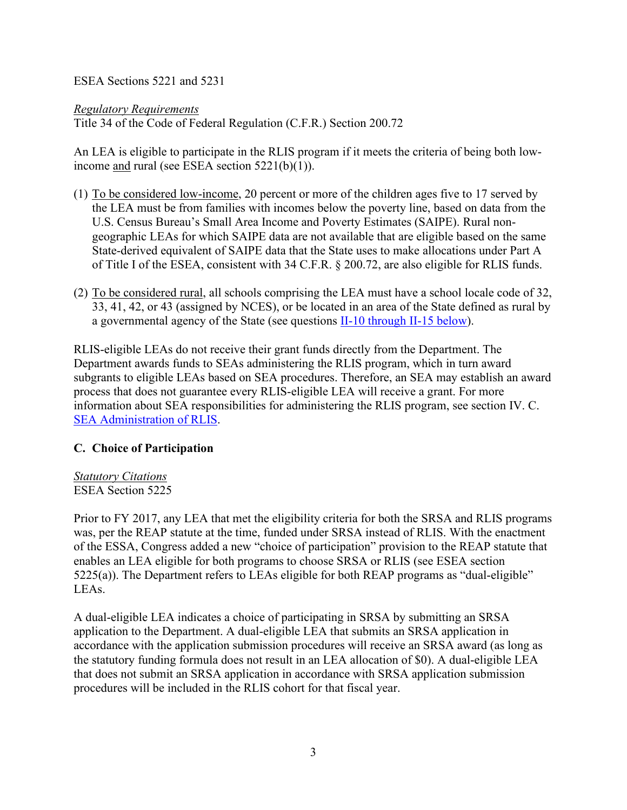ESEA Sections 5221 and 5231

*Regulatory Requirements*

Title 34 of the Code of Federal Regulation (C.F.R.) Section 200.72

An LEA is eligible to participate in the RLIS program if it meets the criteria of being both lowincome and rural (see ESEA section 5221(b)(1)).

- (1) To be considered low-income, 20 percent or more of the children ages five to 17 served by the LEA must be from families with incomes below the poverty line, based on data from the U.S. Census Bureau's Small Area Income and Poverty Estimates (SAIPE). Rural nongeographic LEAs for which SAIPE data are not available that are eligible based on the same State-derived equivalent of SAIPE data that the State uses to make allocations under Part A of Title I of the ESEA, consistent with 34 C.F.R. § 200.72, are also eligible for RLIS funds.
- (2) To be considered rural, all schools comprising the LEA must have a school locale code of 32, 33, 41, 42, or 43 (assigned by NCES), or be located in an area of the State defined as rural by a governmental agency of the State (see questions [II-10 through II-15](#page-14-0) below).

RLIS-eligible LEAs do not receive their grant funds directly from the Department. The Department awards funds to SEAs administering the RLIS program, which in turn award subgrants to eligible LEAs based on SEA procedures. Therefore, an SEA may establish an award process that does not guarantee every RLIS-eligible LEA will receive a grant. For more information about SEA responsibilities for administering the RLIS program, see section IV. C. [SEA Administration](#page-35-0) of RLIS.

# <span id="page-8-0"></span>**C. Choice of Participation**

*Statutory Citations* ESEA Section 5225

Prior to FY 2017, any LEA that met the eligibility criteria for both the SRSA and RLIS programs was, per the REAP statute at the time, funded under SRSA instead of RLIS. With the enactment of the ESSA, Congress added a new "choice of participation" provision to the REAP statute that enables an LEA eligible for both programs to choose SRSA or RLIS (see ESEA section 5225(a)). The Department refers to LEAs eligible for both REAP programs as "dual-eligible" LEAs.

A dual-eligible LEA indicates a choice of participating in SRSA by submitting an SRSA application to the Department. A dual-eligible LEA that submits an SRSA application in accordance with the application submission procedures will receive an SRSA award (as long as the statutory funding formula does not result in an LEA allocation of \$0). A dual-eligible LEA that does not submit an SRSA application in accordance with SRSA application submission procedures will be included in the RLIS cohort for that fiscal year.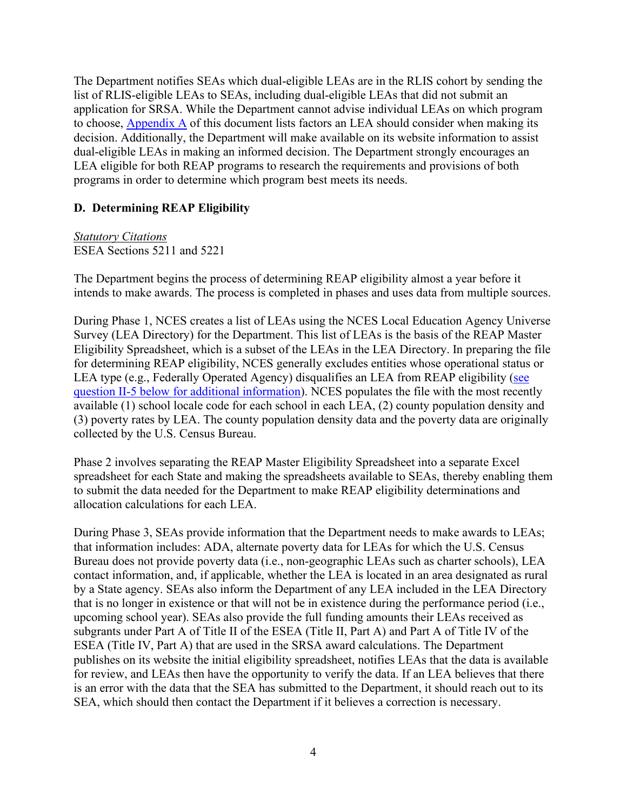The Department notifies SEAs which dual-eligible LEAs are in the RLIS cohort by sending the list of RLIS-eligible LEAs to SEAs, including dual-eligible LEAs that did not submit an application for SRSA. While the Department cannot advise individual LEAs on which program to choose, [Appendix A](#page-43-0) of this document lists factors an LEA should consider when making its decision. Additionally, the Department will make available on its website information to assist dual-eligible LEAs in making an informed decision. The Department strongly encourages an LEA eligible for both REAP programs to research the requirements and provisions of both programs in order to determine which program best meets its needs.

# <span id="page-9-0"></span>**D. Determining REAP Eligibility**

### *Statutory Citations*

# ESEA Sections 5211 and 5221

The Department begins the process of determining REAP eligibility almost a year before it intends to make awards. The process is completed in phases and uses data from multiple sources.

During Phase 1, NCES creates a list of LEAs using the NCES Local Education Agency Universe Survey (LEA Directory) for the Department. This list of LEAs is the basis of the REAP Master Eligibility Spreadsheet, which is a subset of the LEAs in the LEA Directory. In preparing the file for determining REAP eligibility, NCES generally excludes entities whose operational status or LEA type (e.g., Federally Operated Agency) disqualifies an LEA from REAP eligibility (see [question II-5 below for additional information\)](#page-13-0). NCES populates the file with the most recently available (1) school locale code for each school in each LEA, (2) county population density and (3) poverty rates by LEA. The county population density data and the poverty data are originally collected by the U.S. Census Bureau.

Phase 2 involves separating the REAP Master Eligibility Spreadsheet into a separate Excel spreadsheet for each State and making the spreadsheets available to SEAs, thereby enabling them to submit the data needed for the Department to make REAP eligibility determinations and allocation calculations for each LEA.

During Phase 3, SEAs provide information that the Department needs to make awards to LEAs; that information includes: ADA, alternate poverty data for LEAs for which the U.S. Census Bureau does not provide poverty data (i.e., non-geographic LEAs such as charter schools), LEA contact information, and, if applicable, whether the LEA is located in an area designated as rural by a State agency. SEAs also inform the Department of any LEA included in the LEA Directory that is no longer in existence or that will not be in existence during the performance period (i.e., upcoming school year). SEAs also provide the full funding amounts their LEAs received as subgrants under Part A of Title II of the ESEA (Title II, Part A) and Part A of Title IV of the ESEA (Title IV, Part A) that are used in the SRSA award calculations. The Department publishes on its website the initial eligibility spreadsheet, notifies LEAs that the data is available for review, and LEAs then have the opportunity to verify the data. If an LEA believes that there is an error with the data that the SEA has submitted to the Department, it should reach out to its SEA, which should then contact the Department if it believes a correction is necessary.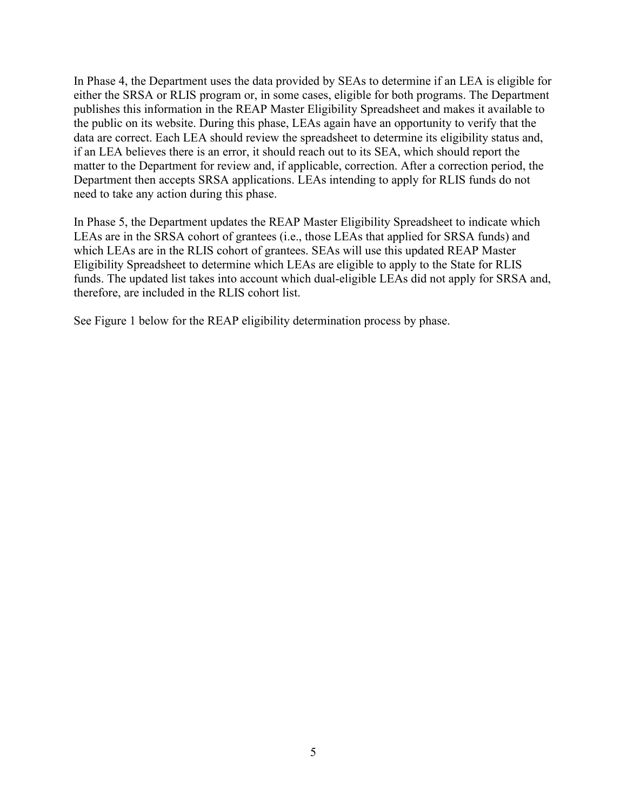In Phase 4, the Department uses the data provided by SEAs to determine if an LEA is eligible for either the SRSA or RLIS program or, in some cases, eligible for both programs. The Department publishes this information in the REAP Master Eligibility Spreadsheet and makes it available to the public on its website. During this phase, LEAs again have an opportunity to verify that the data are correct. Each LEA should review the spreadsheet to determine its eligibility status and, if an LEA believes there is an error, it should reach out to its SEA, which should report the matter to the Department for review and, if applicable, correction. After a correction period, the Department then accepts SRSA applications. LEAs intending to apply for RLIS funds do not need to take any action during this phase.

In Phase 5, the Department updates the REAP Master Eligibility Spreadsheet to indicate which LEAs are in the SRSA cohort of grantees (i.e., those LEAs that applied for SRSA funds) and which LEAs are in the RLIS cohort of grantees. SEAs will use this updated REAP Master Eligibility Spreadsheet to determine which LEAs are eligible to apply to the State for RLIS funds. The updated list takes into account which dual-eligible LEAs did not apply for SRSA and, therefore, are included in the RLIS cohort list.

See Figure 1 below for the REAP eligibility determination process by phase.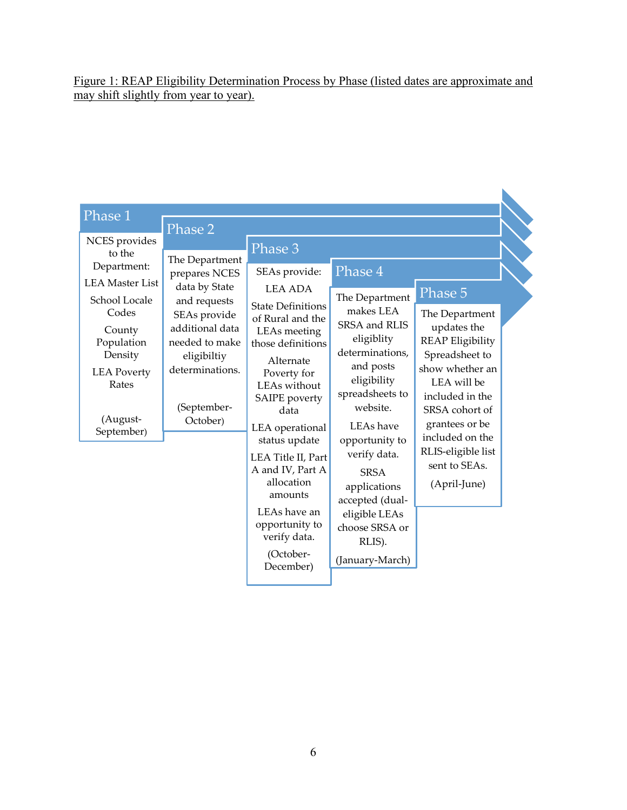Figure 1: REAP Eligibility Determination Process by Phase (listed dates are approximate and may shift slightly from year to year).

| Phase 1                                                                                                                                                                                | Phase 2                                                                                                                                                                            |                                                                                                                                                                                                                                                                                                                                                               |                                                                                                                                                                                                                                                                                                   |                                                                                                                                                                                                                                                          |
|----------------------------------------------------------------------------------------------------------------------------------------------------------------------------------------|------------------------------------------------------------------------------------------------------------------------------------------------------------------------------------|---------------------------------------------------------------------------------------------------------------------------------------------------------------------------------------------------------------------------------------------------------------------------------------------------------------------------------------------------------------|---------------------------------------------------------------------------------------------------------------------------------------------------------------------------------------------------------------------------------------------------------------------------------------------------|----------------------------------------------------------------------------------------------------------------------------------------------------------------------------------------------------------------------------------------------------------|
| NCES provides<br>to the<br>Department:<br><b>LEA</b> Master List<br>School Locale<br>Codes<br>County<br>Population<br>Density<br><b>LEA Poverty</b><br>Rates<br>(August-<br>September) | The Department<br>prepares NCES<br>data by State<br>and requests<br>SEAs provide<br>additional data<br>needed to make<br>eligibiltiy<br>determinations.<br>(September-<br>October) | Phase 3<br>SEAs provide:<br><b>LEA ADA</b><br><b>State Definitions</b><br>of Rural and the<br>LEAs meeting<br>those definitions<br>Alternate<br>Poverty for<br>LEAs without<br>SAIPE poverty<br>data<br>LEA operational<br>status update<br>LEA Title II, Part<br>A and IV, Part A<br>allocation<br>amounts<br>LEAs have an<br>opportunity to<br>verify data. | Phase 4<br>The Department<br>makes LEA<br>SRSA and RLIS<br>eligiblity<br>determinations,<br>and posts<br>eligibility<br>spreadsheets to<br>website.<br>LEAs have<br>opportunity to<br>verify data.<br><b>SRSA</b><br>applications<br>accepted (dual-<br>eligible LEAs<br>choose SRSA or<br>RLIS). | Phase 5<br>The Department<br>updates the<br><b>REAP Eligibility</b><br>Spreadsheet to<br>show whether an<br>LEA will be<br>included in the<br>SRSA cohort of<br>grantees or be<br>included on the<br>RLIS-eligible list<br>sent to SEAs.<br>(April-June) |
|                                                                                                                                                                                        |                                                                                                                                                                                    | (October-<br>December)                                                                                                                                                                                                                                                                                                                                        | (January-March)                                                                                                                                                                                                                                                                                   |                                                                                                                                                                                                                                                          |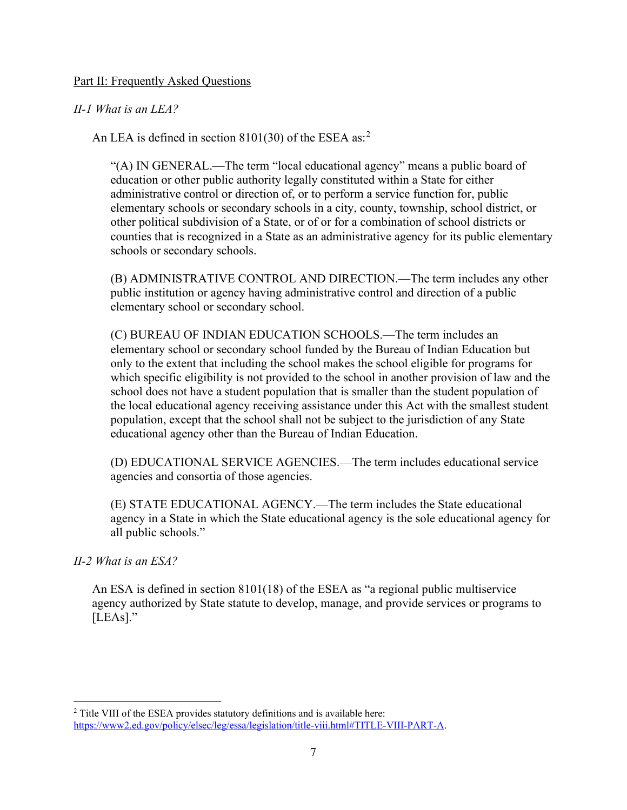#### Part II: Frequently Asked Questions

### *II-1 What is an LEA?*

An LEA is defined in section 8101(30) of the ESEA as:<sup>[2](#page-12-0)</sup>

"(A) IN GENERAL.—The term "local educational agency" means a public board of education or other public authority legally constituted within a State for either administrative control or direction of, or to perform a service function for, public elementary schools or secondary schools in a city, county, township, school district, or other political subdivision of a State, or of or for a combination of school districts or counties that is recognized in a State as an administrative agency for its public elementary schools or secondary schools.

(B) ADMINISTRATIVE CONTROL AND DIRECTION.—The term includes any other public institution or agency having administrative control and direction of a public elementary school or secondary school.

(C) BUREAU OF INDIAN EDUCATION SCHOOLS.—The term includes an elementary school or secondary school funded by the Bureau of Indian Education but only to the extent that including the school makes the school eligible for programs for which specific eligibility is not provided to the school in another provision of law and the school does not have a student population that is smaller than the student population of the local educational agency receiving assistance under this Act with the smallest student population, except that the school shall not be subject to the jurisdiction of any State educational agency other than the Bureau of Indian Education.

(D) EDUCATIONAL SERVICE AGENCIES.—The term includes educational service agencies and consortia of those agencies.

(E) STATE EDUCATIONAL AGENCY.—The term includes the State educational agency in a State in which the State educational agency is the sole educational agency for all public schools."

#### *II-2 What is an ESA?*

An ESA is defined in section 8101(18) of the ESEA as "a regional public multiservice agency authorized by State statute to develop, manage, and provide services or programs to [LEAs]."

<span id="page-12-0"></span><sup>&</sup>lt;sup>2</sup> Title VIII of the ESEA provides statutory definitions and is available here: [https://www2.ed.gov/policy/elsec/leg/essa/legislation/title-viii.html#TITLE-VIII-PART-A.](https://www2.ed.gov/policy/elsec/leg/essa/legislation/title-viii.html#TITLE-VIII-PART-A)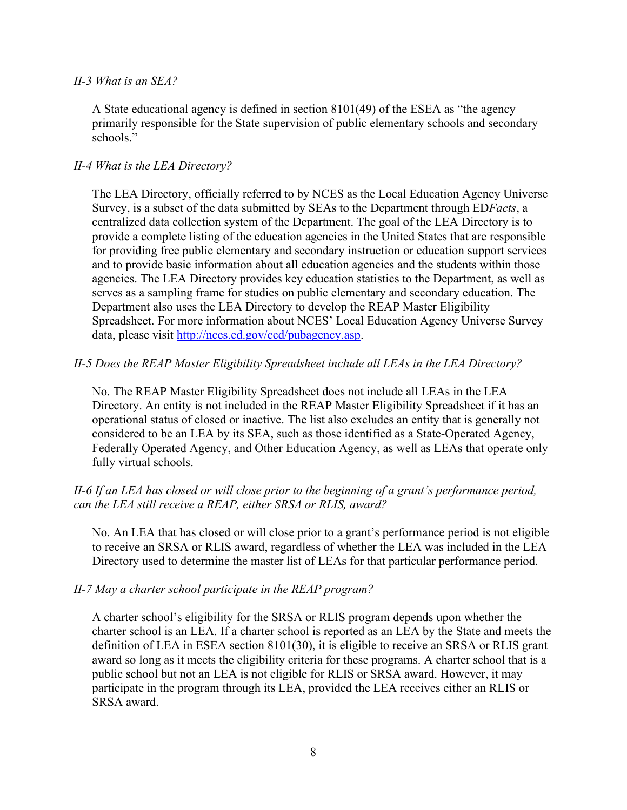#### *II-3 What is an SEA?*

A State educational agency is defined in section 8101(49) of the ESEA as "the agency primarily responsible for the State supervision of public elementary schools and secondary schools."

### *II-4 What is the LEA Directory?*

The LEA Directory, officially referred to by NCES as the Local Education Agency Universe Survey, is a subset of the data submitted by SEAs to the Department through ED*Facts*, a centralized data collection system of the Department. The goal of the LEA Directory is to provide a complete listing of the education agencies in the United States that are responsible for providing free public elementary and secondary instruction or education support services and to provide basic information about all education agencies and the students within those agencies. The LEA Directory provides key education statistics to the Department, as well as serves as a sampling frame for studies on public elementary and secondary education. The Department also uses the LEA Directory to develop the REAP Master Eligibility Spreadsheet. For more information about NCES' Local Education Agency Universe Survey data, please visit [http://nces.ed.gov/ccd/pubagency.asp.](http://nces.ed.gov/ccd/pubagency.asp)

### <span id="page-13-0"></span>*II-5 Does the REAP Master Eligibility Spreadsheet include all LEAs in the LEA Directory?*

No. The REAP Master Eligibility Spreadsheet does not include all LEAs in the LEA Directory. An entity is not included in the REAP Master Eligibility Spreadsheet if it has an operational status of closed or inactive. The list also excludes an entity that is generally not considered to be an LEA by its SEA, such as those identified as a State-Operated Agency, Federally Operated Agency, and Other Education Agency, as well as LEAs that operate only fully virtual schools.

# *II-6 If an LEA has closed or will close prior to the beginning of a grant's performance period, can the LEA still receive a REAP, either SRSA or RLIS, award?*

No. An LEA that has closed or will close prior to a grant's performance period is not eligible to receive an SRSA or RLIS award, regardless of whether the LEA was included in the LEA Directory used to determine the master list of LEAs for that particular performance period.

#### *II-7 May a charter school participate in the REAP program?*

A charter school's eligibility for the SRSA or RLIS program depends upon whether the charter school is an LEA. If a charter school is reported as an LEA by the State and meets the definition of LEA in ESEA section 8101(30), it is eligible to receive an SRSA or RLIS grant award so long as it meets the eligibility criteria for these programs. A charter school that is a public school but not an LEA is not eligible for RLIS or SRSA award. However, it may participate in the program through its LEA, provided the LEA receives either an RLIS or SRSA award.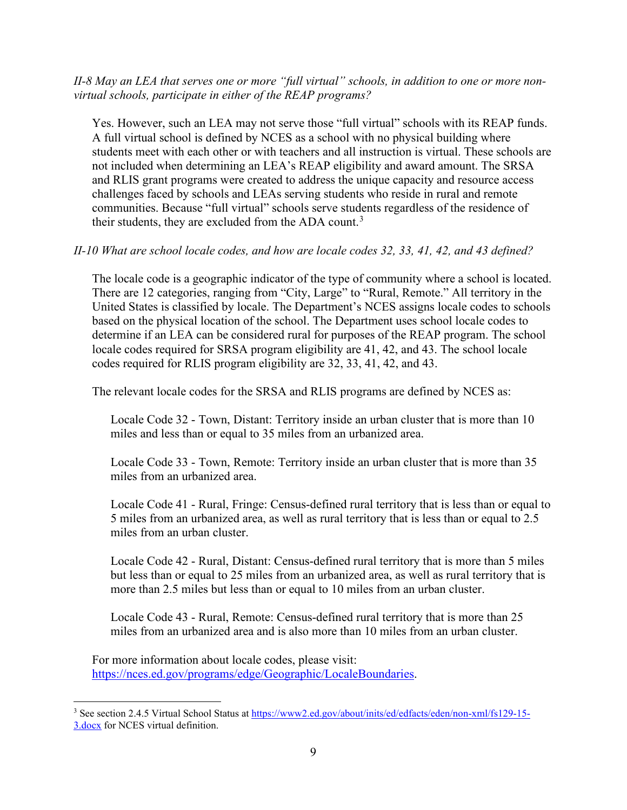#### *II-8 May an LEA that serves one or more "full virtual" schools, in addition to one or more nonvirtual schools, participate in either of the REAP programs?*

Yes. However, such an LEA may not serve those "full virtual" schools with its REAP funds. A full virtual school is defined by NCES as a school with no physical building where students meet with each other or with teachers and all instruction is virtual. These schools are not included when determining an LEA's REAP eligibility and award amount. The SRSA and RLIS grant programs were created to address the unique capacity and resource access challenges faced by schools and LEAs serving students who reside in rural and remote communities. Because "full virtual" schools serve students regardless of the residence of their students, they are excluded from the ADA count.<sup>[3](#page-14-1)</sup>

### <span id="page-14-0"></span>*II-10 What are school locale codes, and how are locale codes 32, 33, 41, 42, and 43 defined?*

The locale code is a geographic indicator of the type of community where a school is located. There are 12 categories, ranging from "City, Large" to "Rural, Remote." All territory in the United States is classified by locale. The Department's NCES assigns locale codes to schools based on the physical location of the school. The Department uses school locale codes to determine if an LEA can be considered rural for purposes of the REAP program. The school locale codes required for SRSA program eligibility are 41, 42, and 43. The school locale codes required for RLIS program eligibility are 32, 33, 41, 42, and 43.

The relevant locale codes for the SRSA and RLIS programs are defined by NCES as:

Locale Code 32 - Town, Distant: Territory inside an urban cluster that is more than 10 miles and less than or equal to 35 miles from an urbanized area.

Locale Code 33 - Town, Remote: Territory inside an urban cluster that is more than 35 miles from an urbanized area.

Locale Code 41 - Rural, Fringe: Census-defined rural territory that is less than or equal to 5 miles from an urbanized area, as well as rural territory that is less than or equal to 2.5 miles from an urban cluster.

Locale Code 42 - Rural, Distant: Census-defined rural territory that is more than 5 miles but less than or equal to 25 miles from an urbanized area, as well as rural territory that is more than 2.5 miles but less than or equal to 10 miles from an urban cluster.

Locale Code 43 - Rural, Remote: Census-defined rural territory that is more than 25 miles from an urbanized area and is also more than 10 miles from an urban cluster.

For more information about locale codes, please visit: [https://nces.ed.gov/programs/edge/Geographic/LocaleBoundaries.](https://nces.ed.gov/programs/edge/Geographic/LocaleBoundaries)

<span id="page-14-1"></span><sup>&</sup>lt;sup>3</sup> See section 2.4.5 Virtual School Status at [https://www2.ed.gov/about/inits/ed/edfacts/eden/non-xml/fs129-15-](https://www2.ed.gov/about/inits/ed/edfacts/eden/non-xml/fs129-15-3.docx) [3.docx](https://www2.ed.gov/about/inits/ed/edfacts/eden/non-xml/fs129-15-3.docx) for NCES virtual definition.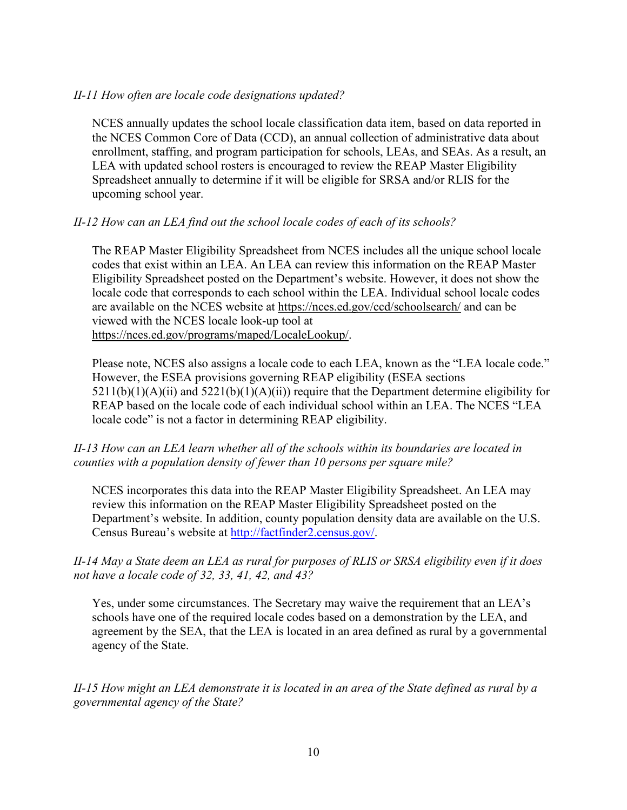### *II-11 How often are locale code designations updated?*

NCES annually updates the school locale classification data item, based on data reported in the NCES Common Core of Data (CCD), an annual collection of administrative data about enrollment, staffing, and program participation for schools, LEAs, and SEAs. As a result, an LEA with updated school rosters is encouraged to review the REAP Master Eligibility Spreadsheet annually to determine if it will be eligible for SRSA and/or RLIS for the upcoming school year.

# *II-12 How can an LEA find out the school locale codes of each of its schools?*

The REAP Master Eligibility Spreadsheet from NCES includes all the unique school locale codes that exist within an LEA. An LEA can review this information on the REAP Master Eligibility Spreadsheet posted on the Department's website. However, it does not show the locale code that corresponds to each school within the LEA. Individual school locale codes are available on the NCES website at<https://nces.ed.gov/ccd/schoolsearch/> and can be viewed with the NCES locale look-up tool at [https://nces.ed.gov/programs/maped/LocaleLookup/.](https://nces.ed.gov/programs/maped/LocaleLookup/)

Please note, NCES also assigns a locale code to each LEA, known as the "LEA locale code." However, the ESEA provisions governing REAP eligibility (ESEA sections  $5211(b)(1)(A)(ii)$  and  $5221(b)(1)(A)(ii)$  require that the Department determine eligibility for REAP based on the locale code of each individual school within an LEA. The NCES "LEA locale code" is not a factor in determining REAP eligibility.

*II-13 How can an LEA learn whether all of the schools within its boundaries are located in counties with a population density of fewer than 10 persons per square mile?*

NCES incorporates this data into the REAP Master Eligibility Spreadsheet. An LEA may review this information on the REAP Master Eligibility Spreadsheet posted on the Department's website. In addition, county population density data are available on the U.S. Census Bureau's website at [http://factfinder2.census.gov/.](http://factfinder2.census.gov/)

# <span id="page-15-0"></span>*II-14 May a State deem an LEA as rural for purposes of RLIS or SRSA eligibility even if it does not have a locale code of 32, 33, 41, 42, and 43?*

Yes, under some circumstances. The Secretary may waive the requirement that an LEA's schools have one of the required locale codes based on a demonstration by the LEA, and agreement by the SEA, that the LEA is located in an area defined as rural by a governmental agency of the State.

*II-15 How might an LEA demonstrate it is located in an area of the State defined as rural by a governmental agency of the State?*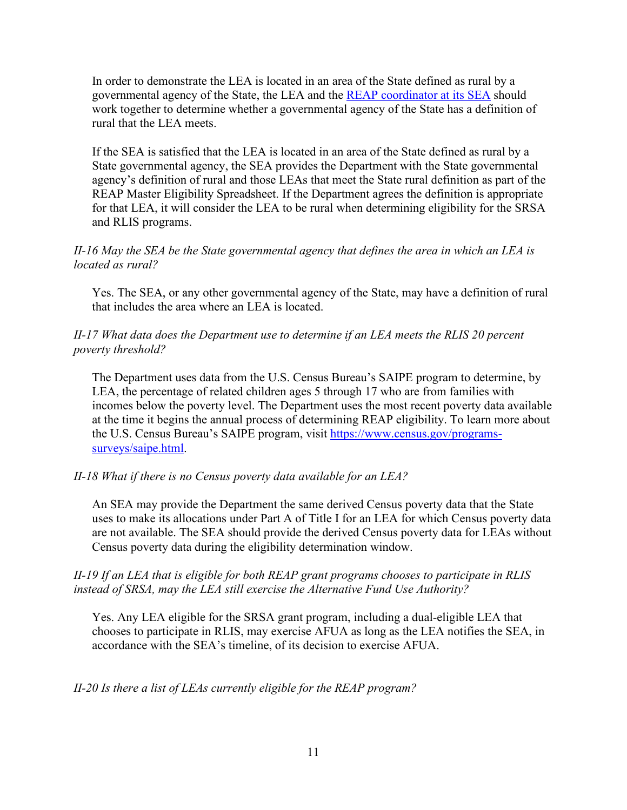In order to demonstrate the LEA is located in an area of the State defined as rural by a governmental agency of the State, the LEA and the [REAP coordinator](https://oese.ed.gov/offices/office-of-formula-grants/rural-insular-native-achievement-programs/rural-education-achievement-program/rural-education-achievement-program-coordinators/) at its SEA should work together to determine whether a governmental agency of the State has a definition of rural that the LEA meets.

If the SEA is satisfied that the LEA is located in an area of the State defined as rural by a State governmental agency, the SEA provides the Department with the State governmental agency's definition of rural and those LEAs that meet the State rural definition as part of the REAP Master Eligibility Spreadsheet. If the Department agrees the definition is appropriate for that LEA, it will consider the LEA to be rural when determining eligibility for the SRSA and RLIS programs.

### *II-16 May the SEA be the State governmental agency that defines the area in which an LEA is located as rural?*

Yes. The SEA, or any other governmental agency of the State, may have a definition of rural that includes the area where an LEA is located.

### *II-17 What data does the Department use to determine if an LEA meets the RLIS 20 percent poverty threshold?*

The Department uses data from the U.S. Census Bureau's SAIPE program to determine, by LEA, the percentage of related children ages 5 through 17 who are from families with incomes below the poverty level. The Department uses the most recent poverty data available at the time it begins the annual process of determining REAP eligibility. To learn more about the U.S. Census Bureau's SAIPE program, visit [https://www.census.gov/programs](https://www.census.gov/programs-surveys/saipe.html)[surveys/saipe.html.](https://www.census.gov/programs-surveys/saipe.html)

# *II-18 What if there is no Census poverty data available for an LEA?*

An SEA may provide the Department the same derived Census poverty data that the State uses to make its allocations under Part A of Title I for an LEA for which Census poverty data are not available. The SEA should provide the derived Census poverty data for LEAs without Census poverty data during the eligibility determination window.

### *II-19 If an LEA that is eligible for both REAP grant programs chooses to participate in RLIS instead of SRSA, may the LEA still exercise the Alternative Fund Use Authority?*

Yes. Any LEA eligible for the SRSA grant program, including a dual-eligible LEA that chooses to participate in RLIS, may exercise AFUA as long as the LEA notifies the SEA, in accordance with the SEA's timeline, of its decision to exercise AFUA.

# *II-20 Is there a list of LEAs currently eligible for the REAP program?*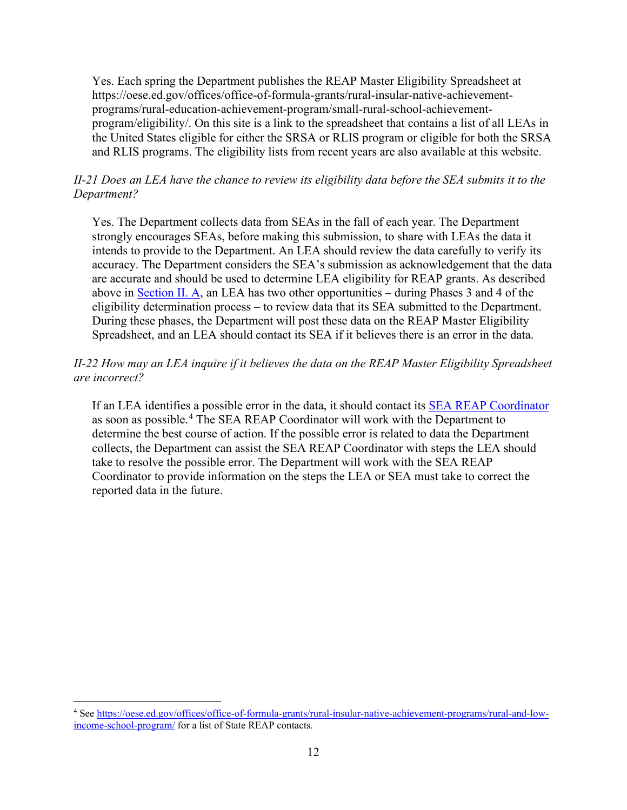Yes. Each spring the Department publishes the REAP Master Eligibility Spreadsheet at https://oese.ed.gov/offices/office-of-formula-grants/rural-insular-native-achievementprograms/rural-education-achievement-program/small-rural-school-achievementprogram/eligibility/. On this site is a link to the spreadsheet that contains a list of all LEAs in the United States eligible for either the SRSA or RLIS program or eligible for both the SRSA and RLIS programs. The eligibility lists from recent years are also available at this website.

# *II-21 Does an LEA have the chance to review its eligibility data before the SEA submits it to the Department?*

Yes. The Department collects data from SEAs in the fall of each year. The Department strongly encourages SEAs, before making this submission, to share with LEAs the data it intends to provide to the Department. An LEA should review the data carefully to verify its accuracy. The Department considers the SEA's submission as acknowledgement that the data are accurate and should be used to determine LEA eligibility for REAP grants. As described above in [Section II. A,](#page-7-1) an LEA has two other opportunities – during Phases 3 and 4 of the eligibility determination process – to review data that its SEA submitted to the Department. During these phases, the Department will post these data on the REAP Master Eligibility Spreadsheet, and an LEA should contact its SEA if it believes there is an error in the data.

# *II-22 How may an LEA inquire if it believes the data on the REAP Master Eligibility Spreadsheet are incorrect?*

If an LEA identifies a possible error in the data, it should contact its [SEA REAP Coordinator](https://oese.ed.gov/offices/office-of-formula-grants/rural-insular-native-achievement-programs/rural-education-achievement-program/rural-education-achievement-program-coordinators/) as soon as possible.<sup>[4](#page-17-0)</sup> The SEA REAP Coordinator will work with the Department to determine the best course of action. If the possible error is related to data the Department collects, the Department can assist the SEA REAP Coordinator with steps the LEA should take to resolve the possible error. The Department will work with the SEA REAP Coordinator to provide information on the steps the LEA or SEA must take to correct the reported data in the future.

<span id="page-17-0"></span><sup>4</sup> Se[e https://oese.ed.gov/offices/office-of-formula-grants/rural-insular-native-achievement-programs/rural-and-low](https://oese.ed.gov/offices/office-of-formula-grants/rural-insular-native-achievement-programs/rural-and-low-income-school-program/)[income-school-program/](https://oese.ed.gov/offices/office-of-formula-grants/rural-insular-native-achievement-programs/rural-and-low-income-school-program/) for a list of State REAP contacts.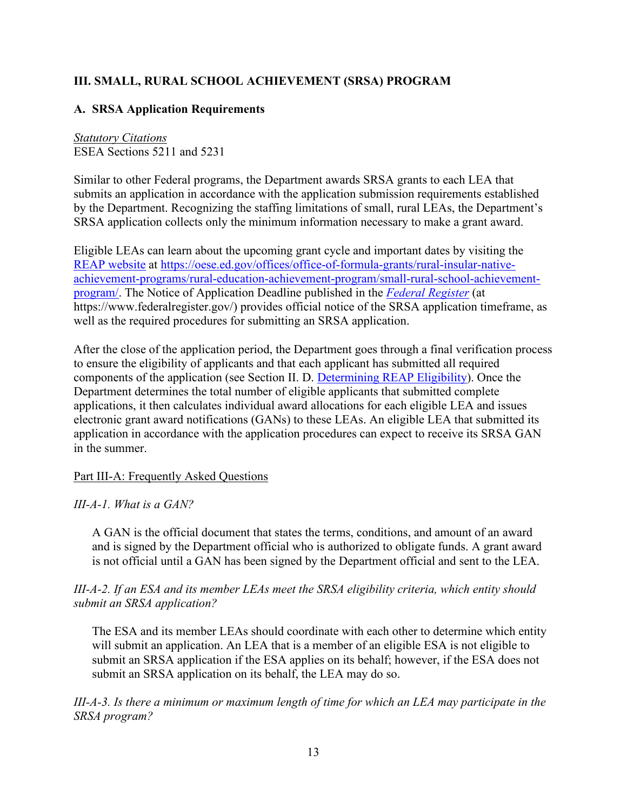# <span id="page-18-0"></span>**III. SMALL, RURAL SCHOOL ACHIEVEMENT (SRSA) PROGRAM**

# <span id="page-18-1"></span>**A. SRSA Application Requirements**

*Statutory Citations* ESEA Sections 5211 and 5231

Similar to other Federal programs, the Department awards SRSA grants to each LEA that submits an application in accordance with the application submission requirements established by the Department. Recognizing the staffing limitations of small, rural LEAs, the Department's SRSA application collects only the minimum information necessary to make a grant award.

Eligible LEAs can learn about the upcoming grant cycle and important dates by visiting the [REAP website](https://oese.ed.gov/offices/office-of-formula-grants/rural-insular-native-achievement-programs/rural-education-achievement-program/small-rural-school-achievement-program/resources/) at [https://oese.ed.gov/offices/office-of-formula-grants/rural-insular-native](https://oese.ed.gov/offices/office-of-formula-grants/rural-insular-native-achievement-programs/rural-education-achievement-program/small-rural-school-achievement-program/)[achievement-programs/rural-education-achievement-program/small-rural-school-achievement](https://oese.ed.gov/offices/office-of-formula-grants/rural-insular-native-achievement-programs/rural-education-achievement-program/small-rural-school-achievement-program/)[program/.](https://oese.ed.gov/offices/office-of-formula-grants/rural-insular-native-achievement-programs/rural-education-achievement-program/small-rural-school-achievement-program/) The Notice of Application Deadline published in the *[Federal Register](https://www.federalregister.gov/)* (at https://www.federalregister.gov/) provides official notice of the SRSA application timeframe, as well as the required procedures for submitting an SRSA application.

After the close of the application period, the Department goes through a final verification process to ensure the eligibility of applicants and that each applicant has submitted all required components of the application (see Section II. D. [Determining REAP Eligibility\)](#page-9-0). Once the Department determines the total number of eligible applicants that submitted complete applications, it then calculates individual award allocations for each eligible LEA and issues electronic grant award notifications (GANs) to these LEAs. An eligible LEA that submitted its application in accordance with the application procedures can expect to receive its SRSA GAN in the summer.

Part III-A: Frequently Asked Questions

*III-A-1. What is a GAN?*

A GAN is the official document that states the terms, conditions, and amount of an award and is signed by the Department official who is authorized to obligate funds. A grant award is not official until a GAN has been signed by the Department official and sent to the LEA.

*III-A-2. If an ESA and its member LEAs meet the SRSA eligibility criteria, which entity should submit an SRSA application?*

The ESA and its member LEAs should coordinate with each other to determine which entity will submit an application. An LEA that is a member of an eligible ESA is not eligible to submit an SRSA application if the ESA applies on its behalf; however, if the ESA does not submit an SRSA application on its behalf, the LEA may do so.

*III-A-3. Is there a minimum or maximum length of time for which an LEA may participate in the SRSA program?*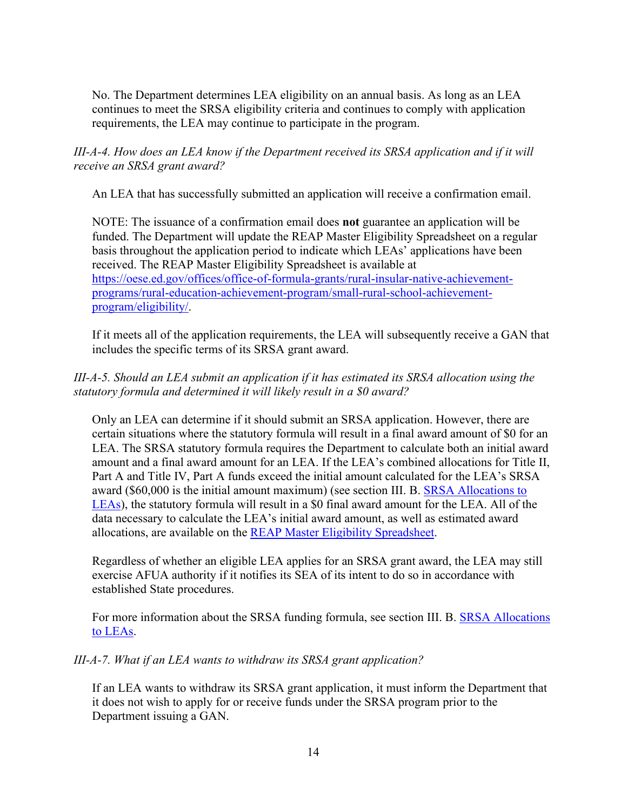No. The Department determines LEA eligibility on an annual basis. As long as an LEA continues to meet the SRSA eligibility criteria and continues to comply with application requirements, the LEA may continue to participate in the program.

*III-A-4. How does an LEA know if the Department received its SRSA application and if it will receive an SRSA grant award?*

An LEA that has successfully submitted an application will receive a confirmation email.

NOTE: The issuance of a confirmation email does **not** guarantee an application will be funded. The Department will update the REAP Master Eligibility Spreadsheet on a regular basis throughout the application period to indicate which LEAs' applications have been received. The REAP Master Eligibility Spreadsheet is available at [https://oese.ed.gov/offices/office-of-formula-grants/rural-insular-native-achievement](https://oese.ed.gov/offices/office-of-formula-grants/rural-insular-native-achievement-programs/rural-education-achievement-program/small-rural-school-achievement-program/eligibility/)[programs/rural-education-achievement-program/small-rural-school-achievement](https://oese.ed.gov/offices/office-of-formula-grants/rural-insular-native-achievement-programs/rural-education-achievement-program/small-rural-school-achievement-program/eligibility/)[program/eligibility/.](https://oese.ed.gov/offices/office-of-formula-grants/rural-insular-native-achievement-programs/rural-education-achievement-program/small-rural-school-achievement-program/eligibility/)

If it meets all of the application requirements, the LEA will subsequently receive a GAN that includes the specific terms of its SRSA grant award.

# *III-A-5. Should an LEA submit an application if it has estimated its SRSA allocation using the statutory formula and determined it will likely result in a \$0 award?*

Only an LEA can determine if it should submit an SRSA application. However, there are certain situations where the statutory formula will result in a final award amount of \$0 for an LEA. The SRSA statutory formula requires the Department to calculate both an initial award amount and a final award amount for an LEA. If the LEA's combined allocations for Title II, Part A and Title IV, Part A funds exceed the initial amount calculated for the LEA's SRSA award (\$60,000 is the initial amount maximum) (see section III. B. [SRSA Allocations to](#page-20-0)  [LEAs\)](#page-20-0), the statutory formula will result in a \$0 final award amount for the LEA. All of the data necessary to calculate the LEA's initial award amount, as well as estimated award allocations, are available on the [REAP Master Eligibility Spreadsheet.](https://oese.ed.gov/offices/office-of-formula-grants/rural-insular-native-achievement-programs/rural-education-achievement-program/small-rural-school-achievement-program/eligibility/)

Regardless of whether an eligible LEA applies for an SRSA grant award, the LEA may still exercise AFUA authority if it notifies its SEA of its intent to do so in accordance with established State procedures.

For more information about the SRSA funding formula, see section III. B. **SRSA Allocations** [to LEAs.](#page-20-0)

# *III-A-7. What if an LEA wants to withdraw its SRSA grant application?*

If an LEA wants to withdraw its SRSA grant application, it must inform the Department that it does not wish to apply for or receive funds under the SRSA program prior to the Department issuing a GAN.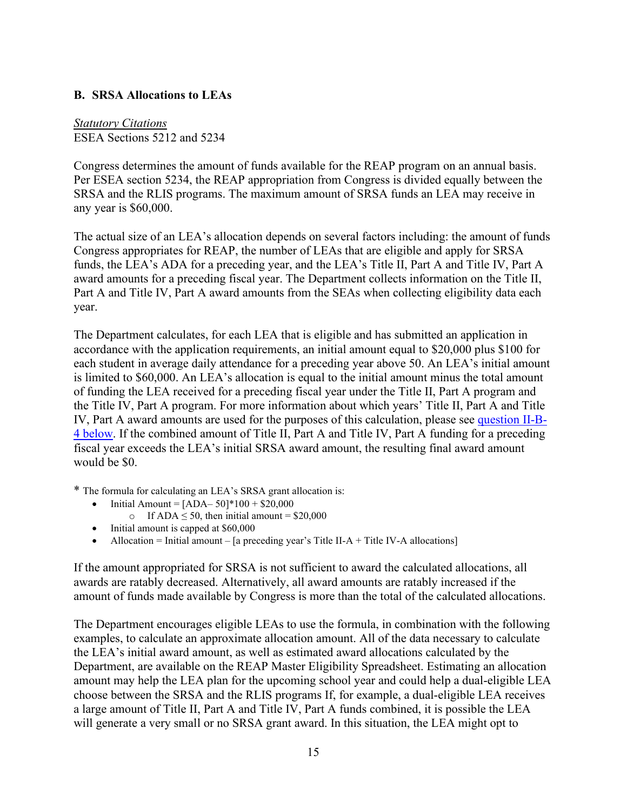### <span id="page-20-0"></span>**B. SRSA Allocations to LEAs**

*Statutory Citations* ESEA Sections 5212 and 5234

Congress determines the amount of funds available for the REAP program on an annual basis. Per ESEA section 5234, the REAP appropriation from Congress is divided equally between the SRSA and the RLIS programs. The maximum amount of SRSA funds an LEA may receive in any year is \$60,000.

The actual size of an LEA's allocation depends on several factors including: the amount of funds Congress appropriates for REAP, the number of LEAs that are eligible and apply for SRSA funds, the LEA's ADA for a preceding year, and the LEA's Title II, Part A and Title IV, Part A award amounts for a preceding fiscal year. The Department collects information on the Title II, Part A and Title IV, Part A award amounts from the SEAs when collecting eligibility data each year.

The Department calculates, for each LEA that is eligible and has submitted an application in accordance with the application requirements, an initial amount equal to \$20,000 plus \$100 for each student in average daily attendance for a preceding year above 50. An LEA's initial amount is limited to \$60,000. An LEA's allocation is equal to the initial amount minus the total amount of funding the LEA received for a preceding fiscal year under the Title II, Part A program and the Title IV, Part A program. For more information about which years' Title II, Part A and Title IV, Part A award amounts are used for the purposes of this calculation, please see [question II-B-](#page-24-0)[4 below.](#page-24-0) If the combined amount of Title II, Part A and Title IV, Part A funding for a preceding fiscal year exceeds the LEA's initial SRSA award amount, the resulting final award amount would be \$0.

\* The formula for calculating an LEA's SRSA grant allocation is:

- Initial Amount =  $[ADA-50]*100 + $20,000$ 
	- o If ADA  $\leq 50$ , then initial amount = \$20,000
- Initial amount is capped at \$60,000
- Allocation = Initial amount [a preceding year's Title II-A + Title IV-A allocations]

If the amount appropriated for SRSA is not sufficient to award the calculated allocations, all awards are ratably decreased. Alternatively, all award amounts are ratably increased if the amount of funds made available by Congress is more than the total of the calculated allocations.

The Department encourages eligible LEAs to use the formula, in combination with the following examples, to calculate an approximate allocation amount. All of the data necessary to calculate the LEA's initial award amount, as well as estimated award allocations calculated by the Department, are available on the REAP Master Eligibility Spreadsheet. Estimating an allocation amount may help the LEA plan for the upcoming school year and could help a dual-eligible LEA choose between the SRSA and the RLIS programs If, for example, a dual-eligible LEA receives a large amount of Title II, Part A and Title IV, Part A funds combined, it is possible the LEA will generate a very small or no SRSA grant award. In this situation, the LEA might opt to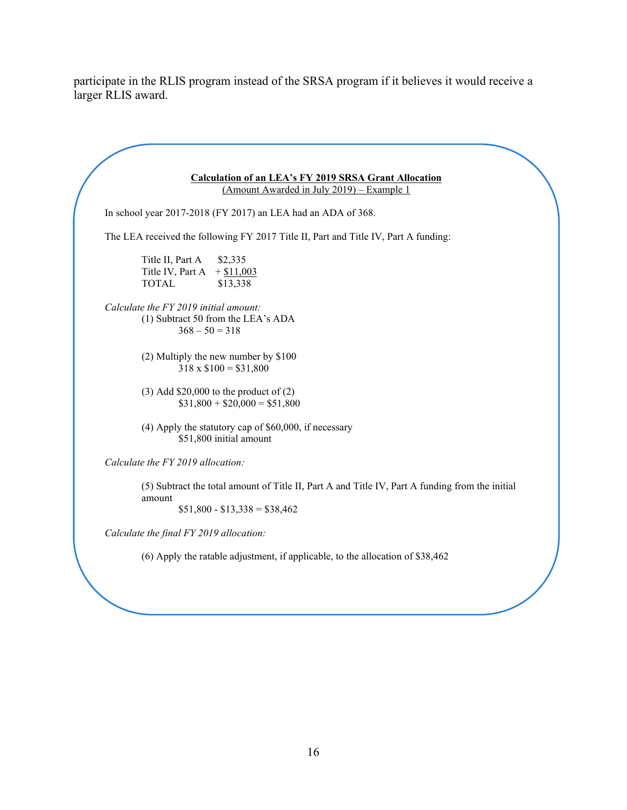participate in the RLIS program instead of the SRSA program if it believes it would receive a larger RLIS award.

| <b>Calculation of an LEA's FY 2019 SRSA Grant Allocation</b><br>(Amount Awarded in July 2019) - Example 1                                  |
|--------------------------------------------------------------------------------------------------------------------------------------------|
| In school year 2017-2018 (FY 2017) an LEA had an ADA of 368.                                                                               |
| The LEA received the following FY 2017 Title II, Part and Title IV, Part A funding:                                                        |
| Title II, Part A<br>\$2,335<br>$+$ \$11,003<br>Title IV, Part A<br><b>TOTAL</b><br>\$13,338                                                |
| Calculate the FY 2019 initial amount:<br>(1) Subtract 50 from the LEA's ADA<br>$368 - 50 = 318$                                            |
| $(2)$ Multiply the new number by \$100<br>$318 \times $100 = $31,800$                                                                      |
| $(3)$ Add \$20,000 to the product of $(2)$<br>$$31,800 + $20,000 = $51,800$                                                                |
| $(4)$ Apply the statutory cap of \$60,000, if necessary<br>\$51,800 initial amount                                                         |
| Calculate the FY 2019 allocation:                                                                                                          |
| (5) Subtract the total amount of Title II, Part A and Title IV, Part A funding from the initial<br>amount<br>$$51,800 - $13,338 = $38,462$ |
| Calculate the final FY 2019 allocation:                                                                                                    |
| $(6)$ Apply the ratable adjustment, if applicable, to the allocation of \$38,462                                                           |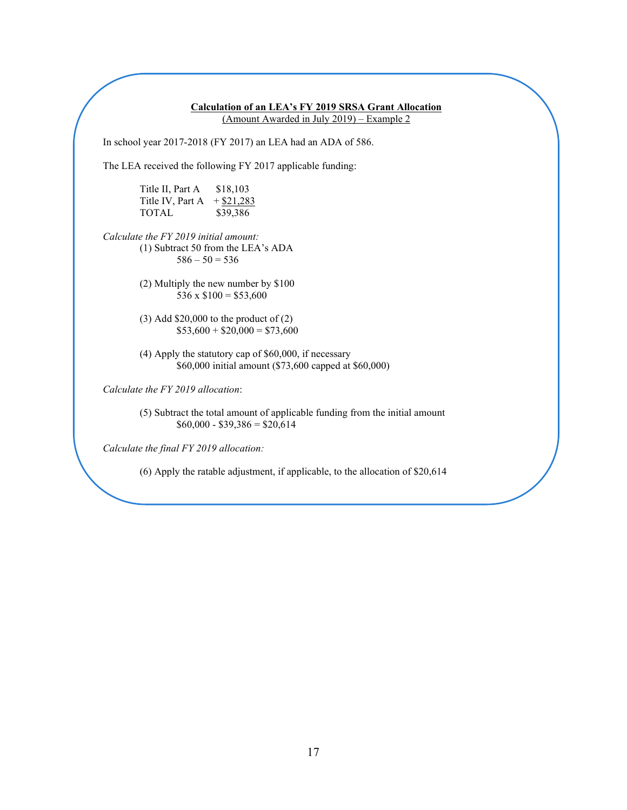**Calculation of an LEA's FY 2019 SRSA Grant Allocation** (Amount Awarded in July 2019) – Example 2 In school year 2017-2018 (FY 2017) an LEA had an ADA of 586. The LEA received the following FY 2017 applicable funding: Title II, Part A \$18,103 Title IV, Part A  $+$  \$21,283 TOTAL \$39,386 *Calculate the FY 2019 initial amount:*  (1) Subtract 50 from the LEA's ADA  $586 - 50 = 536$ (2) Multiply the new number by \$100 536 x  $$100 = $53,600$ (3) Add \$20,000 to the product of (2)  $$53,600 + $20,000 = $73,600$ (4) Apply the statutory cap of \$60,000, if necessary \$60,000 initial amount (\$73,600 capped at \$60,000) *Calculate the FY 2019 allocation*: (5) Subtract the total amount of applicable funding from the initial amount  $$60,000 - $39,386 = $20,614$ 

*Calculate the final FY 2019 allocation:* 

(6) Apply the ratable adjustment, if applicable, to the allocation of \$20,614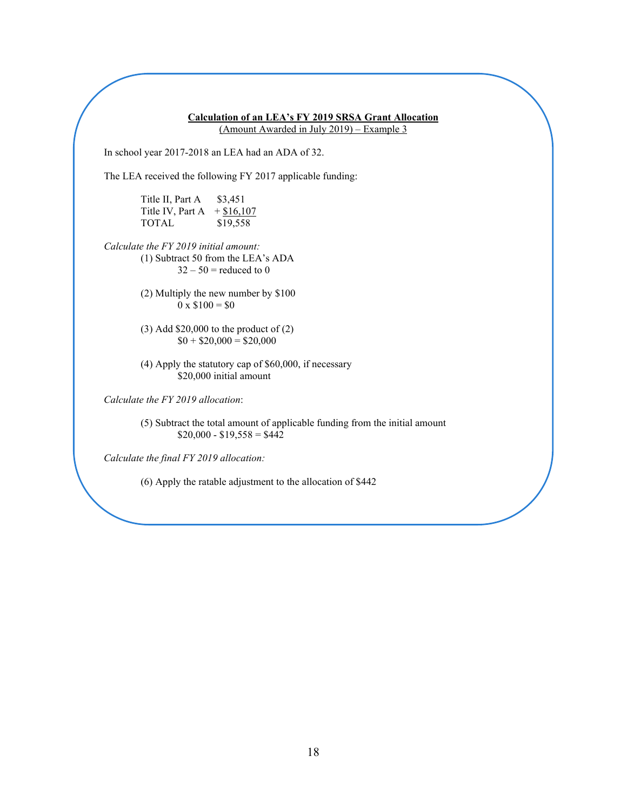**Calculation of an LEA's FY 2019 SRSA Grant Allocation** (Amount Awarded in July 2019) – Example 3 In school year 2017-2018 an LEA had an ADA of 32. The LEA received the following FY 2017 applicable funding: Title II, Part A  $$3,451$ Title IV, Part A  $+ $16,107$ TOTAL \$19,558 *Calculate the FY 2019 initial amount:*  (1) Subtract 50 from the LEA's ADA  $32 - 50$  = reduced to 0 (2) Multiply the new number by \$100  $0 \times \$100 = \$0$ (3) Add \$20,000 to the product of (2)  $$0 + $20,000 = $20,000$ (4) Apply the statutory cap of \$60,000, if necessary \$20,000 initial amount *Calculate the FY 2019 allocation*: (5) Subtract the total amount of applicable funding from the initial amount  $$20,000 - $19,558 = $442$ 

*Calculate the final FY 2019 allocation:* 

(6) Apply the ratable adjustment to the allocation of \$442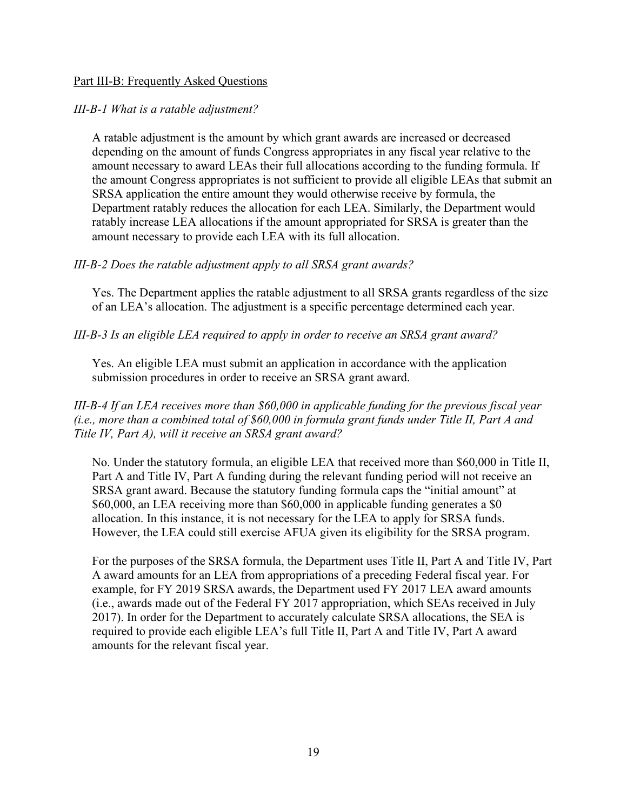#### Part III-B: Frequently Asked Questions

#### *III-B-1 What is a ratable adjustment?*

A ratable adjustment is the amount by which grant awards are increased or decreased depending on the amount of funds Congress appropriates in any fiscal year relative to the amount necessary to award LEAs their full allocations according to the funding formula. If the amount Congress appropriates is not sufficient to provide all eligible LEAs that submit an SRSA application the entire amount they would otherwise receive by formula, the Department ratably reduces the allocation for each LEA. Similarly, the Department would ratably increase LEA allocations if the amount appropriated for SRSA is greater than the amount necessary to provide each LEA with its full allocation.

#### *III-B-2 Does the ratable adjustment apply to all SRSA grant awards?*

Yes. The Department applies the ratable adjustment to all SRSA grants regardless of the size of an LEA's allocation. The adjustment is a specific percentage determined each year.

#### *III-B-3 Is an eligible LEA required to apply in order to receive an SRSA grant award?*

Yes. An eligible LEA must submit an application in accordance with the application submission procedures in order to receive an SRSA grant award.

<span id="page-24-0"></span>*III-B-4 If an LEA receives more than \$60,000 in applicable funding for the previous fiscal year (i.e., more than a combined total of \$60,000 in formula grant funds under Title II, Part A and Title IV, Part A), will it receive an SRSA grant award?*

No. Under the statutory formula, an eligible LEA that received more than \$60,000 in Title II, Part A and Title IV, Part A funding during the relevant funding period will not receive an SRSA grant award. Because the statutory funding formula caps the "initial amount" at \$60,000, an LEA receiving more than \$60,000 in applicable funding generates a \$0 allocation. In this instance, it is not necessary for the LEA to apply for SRSA funds. However, the LEA could still exercise AFUA given its eligibility for the SRSA program.

For the purposes of the SRSA formula, the Department uses Title II, Part A and Title IV, Part A award amounts for an LEA from appropriations of a preceding Federal fiscal year. For example, for FY 2019 SRSA awards, the Department used FY 2017 LEA award amounts (i.e., awards made out of the Federal FY 2017 appropriation, which SEAs received in July 2017). In order for the Department to accurately calculate SRSA allocations, the SEA is required to provide each eligible LEA's full Title II, Part A and Title IV, Part A award amounts for the relevant fiscal year.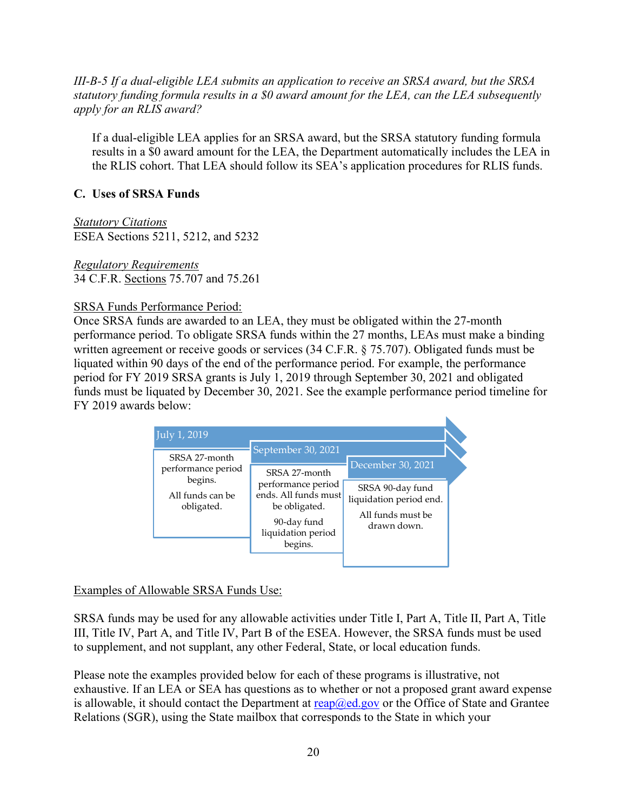*III-B-5 If a dual-eligible LEA submits an application to receive an SRSA award, but the SRSA statutory funding formula results in a \$0 award amount for the LEA, can the LEA subsequently apply for an RLIS award?*

If a dual-eligible LEA applies for an SRSA award, but the SRSA statutory funding formula results in a \$0 award amount for the LEA, the Department automatically includes the LEA in the RLIS cohort. That LEA should follow its SEA's application procedures for RLIS funds.

# <span id="page-25-0"></span>**C. Uses of SRSA Funds**

*Statutory Citations* ESEA Sections 5211, 5212, and 5232

*Regulatory Requirements* 34 C.F.R. Sections 75.707 and 75.261

### SRSA Funds Performance Period:

Once SRSA funds are awarded to an LEA, they must be obligated within the 27-month performance period. To obligate SRSA funds within the 27 months, LEAs must make a binding written agreement or receive goods or services (34 C.F.R. § 75.707). Obligated funds must be liquated within 90 days of the end of the performance period. For example, the performance period for FY 2019 SRSA grants is July 1, 2019 through September 30, 2021 and obligated funds must be liquated by December 30, 2021. See the example performance period timeline for FY 2019 awards below:



# Examples of Allowable SRSA Funds Use:

SRSA funds may be used for any allowable activities under Title I, Part A, Title II, Part A, Title III, Title IV, Part A, and Title IV, Part B of the ESEA. However, the SRSA funds must be used to supplement, and not supplant, any other Federal, State, or local education funds.

Please note the examples provided below for each of these programs is illustrative, not exhaustive. If an LEA or SEA has questions as to whether or not a proposed grant award expense is allowable, it should contact the Department at  $\text{reap}(\hat{a})$ ed.gov or the Office of State and Grantee Relations (SGR), using the State mailbox that corresponds to the State in which your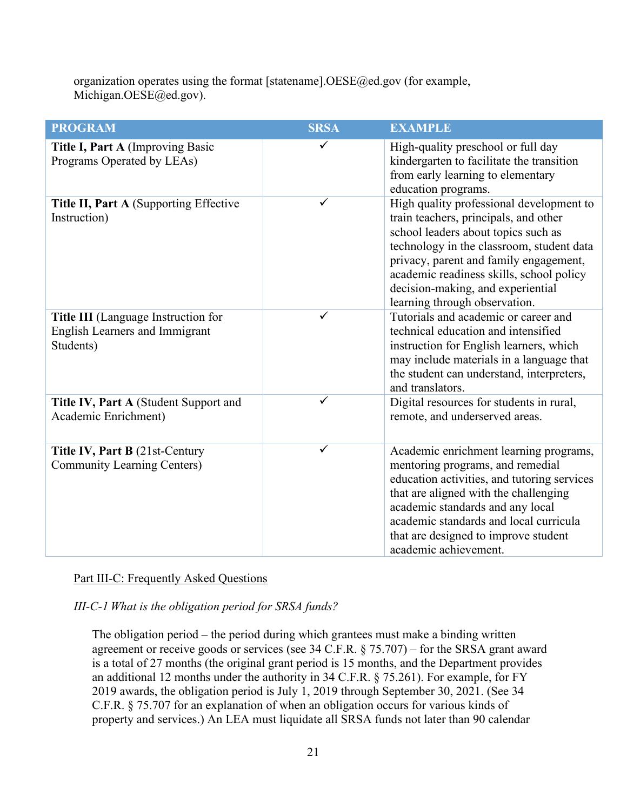organization operates using the format [statename].OESE@ed.gov (for example, Michigan.OESE@ed.gov).

| <b>PROGRAM</b>                                                                            | <b>SRSA</b>  | <b>EXAMPLE</b>                                                                                                                                                                                                                                                                                                                    |
|-------------------------------------------------------------------------------------------|--------------|-----------------------------------------------------------------------------------------------------------------------------------------------------------------------------------------------------------------------------------------------------------------------------------------------------------------------------------|
| Title I, Part A (Improving Basic<br>Programs Operated by LEAs)                            |              | High-quality preschool or full day<br>kindergarten to facilitate the transition<br>from early learning to elementary<br>education programs.                                                                                                                                                                                       |
| Title II, Part A (Supporting Effective<br>Instruction)                                    | $\checkmark$ | High quality professional development to<br>train teachers, principals, and other<br>school leaders about topics such as<br>technology in the classroom, student data<br>privacy, parent and family engagement,<br>academic readiness skills, school policy<br>decision-making, and experiential<br>learning through observation. |
| Title III (Language Instruction for<br><b>English Learners and Immigrant</b><br>Students) |              | Tutorials and academic or career and<br>technical education and intensified<br>instruction for English learners, which<br>may include materials in a language that<br>the student can understand, interpreters,<br>and translators.                                                                                               |
| Title IV, Part A (Student Support and<br>Academic Enrichment)                             | ✓            | Digital resources for students in rural,<br>remote, and underserved areas.                                                                                                                                                                                                                                                        |
| Title IV, Part B (21st-Century<br><b>Community Learning Centers)</b>                      | $\checkmark$ | Academic enrichment learning programs,<br>mentoring programs, and remedial<br>education activities, and tutoring services<br>that are aligned with the challenging<br>academic standards and any local<br>academic standards and local curricula<br>that are designed to improve student<br>academic achievement.                 |

#### Part III-C: Frequently Asked Questions

*III-C-1 What is the obligation period for SRSA funds?*

The obligation period – the period during which grantees must make a binding written agreement or receive goods or services (see 34 C.F.R.  $\S$  75.707) – for the SRSA grant award is a total of 27 months (the original grant period is 15 months, and the Department provides an additional 12 months under the authority in 34 C.F.R. § 75.261). For example, for FY 2019 awards, the obligation period is July 1, 2019 through September 30, 2021. (See 34 C.F.R. § 75.707 for an explanation of when an obligation occurs for various kinds of property and services.) An LEA must liquidate all SRSA funds not later than 90 calendar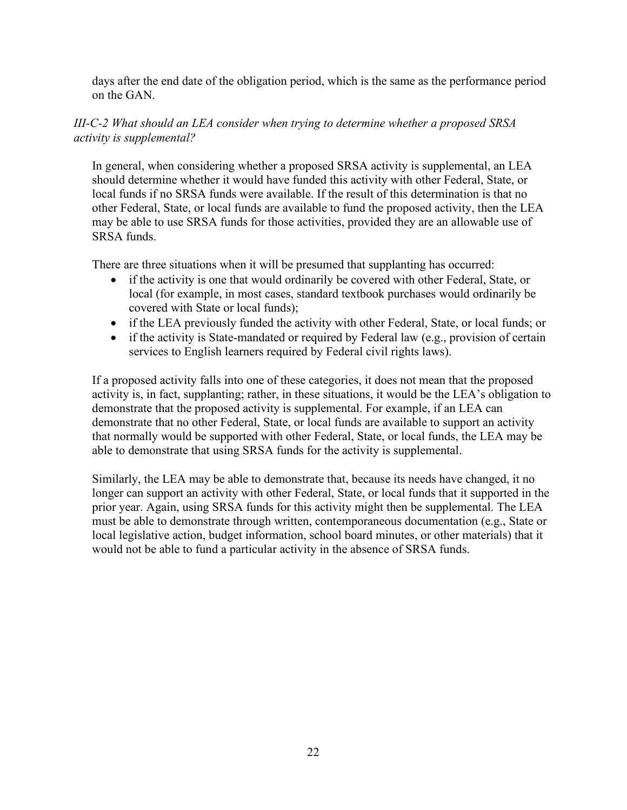days after the end date of the obligation period, which is the same as the performance period on the GAN.

### *III-C-2 What should an LEA consider when trying to determine whether a proposed SRSA activity is supplemental?*

In general, when considering whether a proposed SRSA activity is supplemental, an LEA should determine whether it would have funded this activity with other Federal, State, or local funds if no SRSA funds were available. If the result of this determination is that no other Federal, State, or local funds are available to fund the proposed activity, then the LEA may be able to use SRSA funds for those activities, provided they are an allowable use of SRSA funds.

There are three situations when it will be presumed that supplanting has occurred:

- if the activity is one that would ordinarily be covered with other Federal, State, or local (for example, in most cases, standard textbook purchases would ordinarily be covered with State or local funds);
- if the LEA previously funded the activity with other Federal, State, or local funds; or
- if the activity is State-mandated or required by Federal law (e.g., provision of certain services to English learners required by Federal civil rights laws).

If a proposed activity falls into one of these categories, it does not mean that the proposed activity is, in fact, supplanting; rather, in these situations, it would be the LEA's obligation to demonstrate that the proposed activity is supplemental. For example, if an LEA can demonstrate that no other Federal, State, or local funds are available to support an activity that normally would be supported with other Federal, State, or local funds, the LEA may be able to demonstrate that using SRSA funds for the activity is supplemental.

Similarly, the LEA may be able to demonstrate that, because its needs have changed, it no longer can support an activity with other Federal, State, or local funds that it supported in the prior year. Again, using SRSA funds for this activity might then be supplemental. The LEA must be able to demonstrate through written, contemporaneous documentation (e.g., State or local legislative action, budget information, school board minutes, or other materials) that it would not be able to fund a particular activity in the absence of SRSA funds.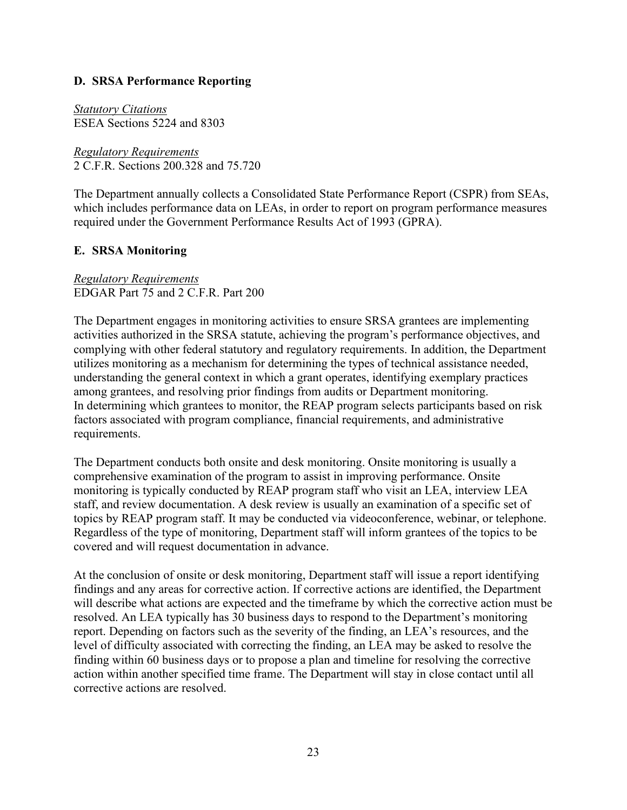### <span id="page-28-0"></span>**D. SRSA Performance Reporting**

*Statutory Citations* ESEA Sections 5224 and 8303

*Regulatory Requirements* 2 C.F.R. Sections 200.328 and 75.720

The Department annually collects a Consolidated State Performance Report (CSPR) from SEAs, which includes performance data on LEAs, in order to report on program performance measures required under the Government Performance Results Act of 1993 (GPRA).

### <span id="page-28-1"></span>**E. SRSA Monitoring**

*Regulatory Requirements* EDGAR Part 75 and 2 C.F.R. Part 200

The Department engages in monitoring activities to ensure SRSA grantees are implementing activities authorized in the SRSA statute, achieving the program's performance objectives, and complying with other federal statutory and regulatory requirements. In addition, the Department utilizes monitoring as a mechanism for determining the types of technical assistance needed, understanding the general context in which a grant operates, identifying exemplary practices among grantees, and resolving prior findings from audits or Department monitoring. In determining which grantees to monitor, the REAP program selects participants based on risk factors associated with program compliance, financial requirements, and administrative requirements.

The Department conducts both onsite and desk monitoring. Onsite monitoring is usually a comprehensive examination of the program to assist in improving performance. Onsite monitoring is typically conducted by REAP program staff who visit an LEA, interview LEA staff, and review documentation. A desk review is usually an examination of a specific set of topics by REAP program staff. It may be conducted via videoconference, webinar, or telephone. Regardless of the type of monitoring, Department staff will inform grantees of the topics to be covered and will request documentation in advance.

At the conclusion of onsite or desk monitoring, Department staff will issue a report identifying findings and any areas for corrective action. If corrective actions are identified, the Department will describe what actions are expected and the timeframe by which the corrective action must be resolved. An LEA typically has 30 business days to respond to the Department's monitoring report. Depending on factors such as the severity of the finding, an LEA's resources, and the level of difficulty associated with correcting the finding, an LEA may be asked to resolve the finding within 60 business days or to propose a plan and timeline for resolving the corrective action within another specified time frame. The Department will stay in close contact until all corrective actions are resolved.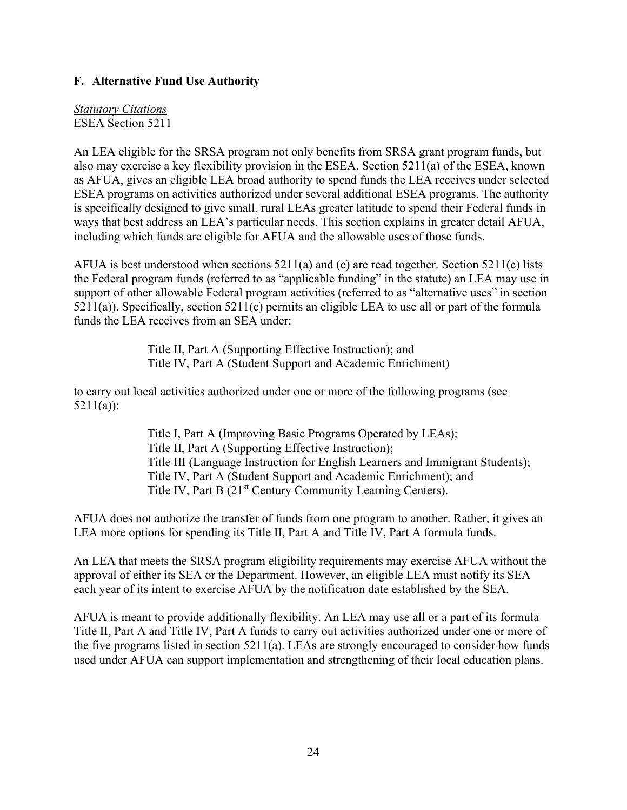### <span id="page-29-0"></span>**F. Alternative Fund Use Authority**

*Statutory Citations* ESEA Section 5211

An LEA eligible for the SRSA program not only benefits from SRSA grant program funds, but also may exercise a key flexibility provision in the ESEA. Section 5211(a) of the ESEA, known as AFUA, gives an eligible LEA broad authority to spend funds the LEA receives under selected ESEA programs on activities authorized under several additional ESEA programs. The authority is specifically designed to give small, rural LEAs greater latitude to spend their Federal funds in ways that best address an LEA's particular needs. This section explains in greater detail AFUA, including which funds are eligible for AFUA and the allowable uses of those funds.

AFUA is best understood when sections 5211(a) and (c) are read together. Section 5211(c) lists the Federal program funds (referred to as "applicable funding" in the statute) an LEA may use in support of other allowable Federal program activities (referred to as "alternative uses" in section 5211(a)). Specifically, section 5211(c) permits an eligible LEA to use all or part of the formula funds the LEA receives from an SEA under:

> Title II, Part A (Supporting Effective Instruction); and Title IV, Part A (Student Support and Academic Enrichment)

to carry out local activities authorized under one or more of the following programs (see 5211(a)):

> Title I, Part A (Improving Basic Programs Operated by LEAs); Title II, Part A (Supporting Effective Instruction); Title III (Language Instruction for English Learners and Immigrant Students); Title IV, Part A (Student Support and Academic Enrichment); and Title IV, Part B (21<sup>st</sup> Century Community Learning Centers).

AFUA does not authorize the transfer of funds from one program to another. Rather, it gives an LEA more options for spending its Title II, Part A and Title IV, Part A formula funds.

An LEA that meets the SRSA program eligibility requirements may exercise AFUA without the approval of either its SEA or the Department. However, an eligible LEA must notify its SEA each year of its intent to exercise AFUA by the notification date established by the SEA.

AFUA is meant to provide additionally flexibility. An LEA may use all or a part of its formula Title II, Part A and Title IV, Part A funds to carry out activities authorized under one or more of the five programs listed in section 5211(a). LEAs are strongly encouraged to consider how funds used under AFUA can support implementation and strengthening of their local education plans.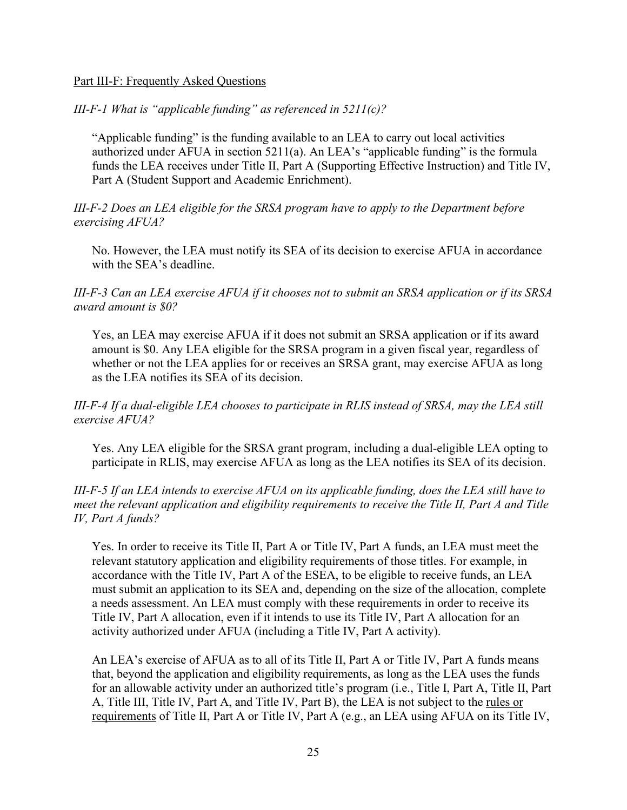#### Part III-F: Frequently Asked Questions

#### *III-F-1 What is "applicable funding" as referenced in 5211(c)?*

"Applicable funding" is the funding available to an LEA to carry out local activities authorized under AFUA in section 5211(a). An LEA's "applicable funding" is the formula funds the LEA receives under Title II, Part A (Supporting Effective Instruction) and Title IV, Part A (Student Support and Academic Enrichment).

#### *III-F-2 Does an LEA eligible for the SRSA program have to apply to the Department before exercising AFUA?*

No. However, the LEA must notify its SEA of its decision to exercise AFUA in accordance with the SEA's deadline.

### *III-F-3 Can an LEA exercise AFUA if it chooses not to submit an SRSA application or if its SRSA award amount is \$0?*

Yes, an LEA may exercise AFUA if it does not submit an SRSA application or if its award amount is \$0. Any LEA eligible for the SRSA program in a given fiscal year, regardless of whether or not the LEA applies for or receives an SRSA grant, may exercise AFUA as long as the LEA notifies its SEA of its decision.

#### *III-F-4 If a dual-eligible LEA chooses to participate in RLIS instead of SRSA, may the LEA still exercise AFUA?*

Yes. Any LEA eligible for the SRSA grant program, including a dual-eligible LEA opting to participate in RLIS, may exercise AFUA as long as the LEA notifies its SEA of its decision.

### *III-F-5 If an LEA intends to exercise AFUA on its applicable funding, does the LEA still have to meet the relevant application and eligibility requirements to receive the Title II, Part A and Title IV, Part A funds?*

Yes. In order to receive its Title II, Part A or Title IV, Part A funds, an LEA must meet the relevant statutory application and eligibility requirements of those titles. For example, in accordance with the Title IV, Part A of the ESEA, to be eligible to receive funds, an LEA must submit an application to its SEA and, depending on the size of the allocation, complete a needs assessment. An LEA must comply with these requirements in order to receive its Title IV, Part A allocation, even if it intends to use its Title IV, Part A allocation for an activity authorized under AFUA (including a Title IV, Part A activity).

An LEA's exercise of AFUA as to all of its Title II, Part A or Title IV, Part A funds means that, beyond the application and eligibility requirements, as long as the LEA uses the funds for an allowable activity under an authorized title's program (i.e., Title I, Part A, Title II, Part A, Title III, Title IV, Part A, and Title IV, Part B), the LEA is not subject to the rules or requirements of Title II, Part A or Title IV, Part A (e.g., an LEA using AFUA on its Title IV,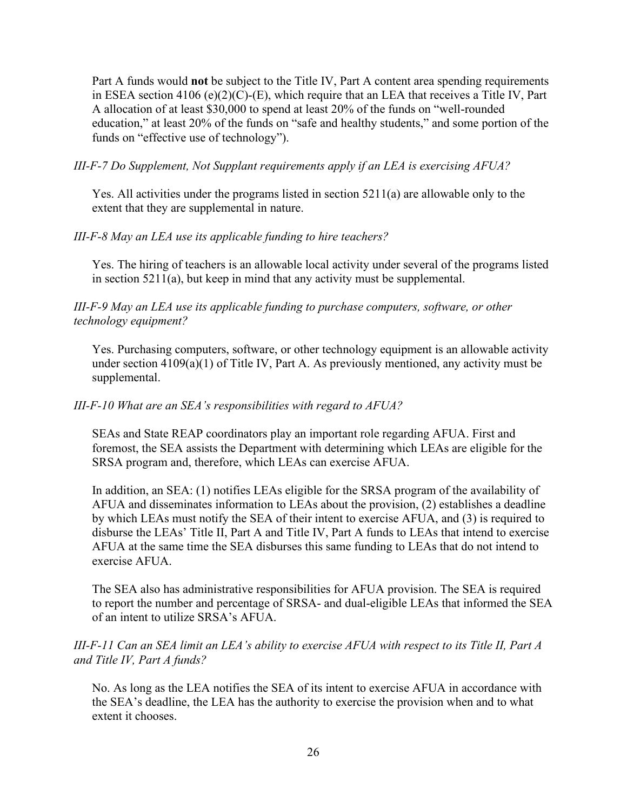Part A funds would **not** be subject to the Title IV, Part A content area spending requirements in ESEA section  $4106$  (e) $(2)(C)$ -(E), which require that an LEA that receives a Title IV, Part A allocation of at least \$30,000 to spend at least 20% of the funds on "well-rounded education," at least 20% of the funds on "safe and healthy students," and some portion of the funds on "effective use of technology").

*III-F-7 Do Supplement, Not Supplant requirements apply if an LEA is exercising AFUA?*

Yes. All activities under the programs listed in section 5211(a) are allowable only to the extent that they are supplemental in nature.

#### *III-F-8 May an LEA use its applicable funding to hire teachers?*

Yes. The hiring of teachers is an allowable local activity under several of the programs listed in section 5211(a), but keep in mind that any activity must be supplemental.

*III-F-9 May an LEA use its applicable funding to purchase computers, software, or other technology equipment?*

Yes. Purchasing computers, software, or other technology equipment is an allowable activity under section 4109(a)(1) of Title IV, Part A. As previously mentioned, any activity must be supplemental.

#### *III-F-10 What are an SEA's responsibilities with regard to AFUA?*

SEAs and State REAP coordinators play an important role regarding AFUA. First and foremost, the SEA assists the Department with determining which LEAs are eligible for the SRSA program and, therefore, which LEAs can exercise AFUA.

In addition, an SEA: (1) notifies LEAs eligible for the SRSA program of the availability of AFUA and disseminates information to LEAs about the provision, (2) establishes a deadline by which LEAs must notify the SEA of their intent to exercise AFUA, and (3) is required to disburse the LEAs' Title II, Part A and Title IV, Part A funds to LEAs that intend to exercise AFUA at the same time the SEA disburses this same funding to LEAs that do not intend to exercise AFUA.

The SEA also has administrative responsibilities for AFUA provision. The SEA is required to report the number and percentage of SRSA- and dual-eligible LEAs that informed the SEA of an intent to utilize SRSA's AFUA.

#### *III-F-11 Can an SEA limit an LEA's ability to exercise AFUA with respect to its Title II, Part A and Title IV, Part A funds?*

No. As long as the LEA notifies the SEA of its intent to exercise AFUA in accordance with the SEA's deadline, the LEA has the authority to exercise the provision when and to what extent it chooses.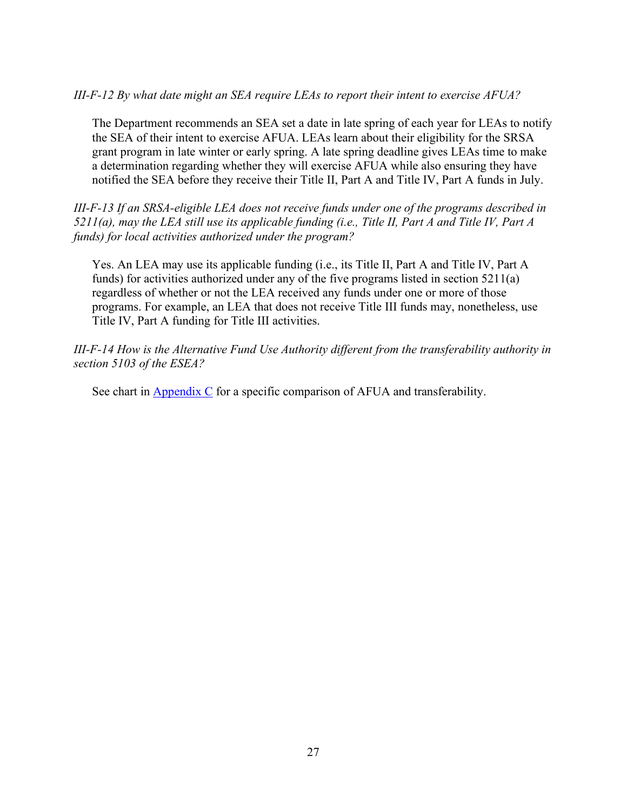#### *III-F-12 By what date might an SEA require LEAs to report their intent to exercise AFUA?*

The Department recommends an SEA set a date in late spring of each year for LEAs to notify the SEA of their intent to exercise AFUA. LEAs learn about their eligibility for the SRSA grant program in late winter or early spring. A late spring deadline gives LEAs time to make a determination regarding whether they will exercise AFUA while also ensuring they have notified the SEA before they receive their Title II, Part A and Title IV, Part A funds in July.

*III-F-13 If an SRSA-eligible LEA does not receive funds under one of the programs described in 5211(a), may the LEA still use its applicable funding (i.e., Title II, Part A and Title IV, Part A funds) for local activities authorized under the program?* 

Yes. An LEA may use its applicable funding (i.e., its Title II, Part A and Title IV, Part A funds) for activities authorized under any of the five programs listed in section 5211(a) regardless of whether or not the LEA received any funds under one or more of those programs. For example, an LEA that does not receive Title III funds may, nonetheless, use Title IV, Part A funding for Title III activities.

*III-F-14 How is the Alternative Fund Use Authority different from the transferability authority in section 5103 of the ESEA?*

See chart in  $\Delta$ ppendix C for a specific comparison of AFUA and transferability.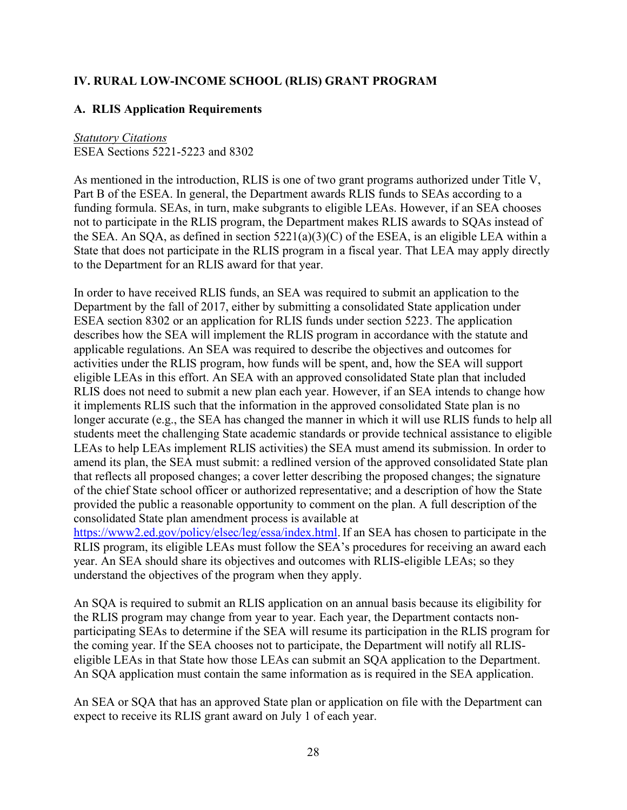# <span id="page-33-0"></span>**IV. RURAL LOW-INCOME SCHOOL (RLIS) GRANT PROGRAM**

#### <span id="page-33-1"></span>**A. RLIS Application Requirements**

### *Statutory Citations*

ESEA Sections 5221-5223 and 8302

As mentioned in the introduction, RLIS is one of two grant programs authorized under Title V, Part B of the ESEA. In general, the Department awards RLIS funds to SEAs according to a funding formula. SEAs, in turn, make subgrants to eligible LEAs. However, if an SEA chooses not to participate in the RLIS program, the Department makes RLIS awards to SQAs instead of the SEA. An SQA, as defined in section  $5221(a)(3)(C)$  of the ESEA, is an eligible LEA within a State that does not participate in the RLIS program in a fiscal year. That LEA may apply directly to the Department for an RLIS award for that year.

In order to have received RLIS funds, an SEA was required to submit an application to the Department by the fall of 2017, either by submitting a consolidated State application under ESEA section 8302 or an application for RLIS funds under section 5223. The application describes how the SEA will implement the RLIS program in accordance with the statute and applicable regulations. An SEA was required to describe the objectives and outcomes for activities under the RLIS program, how funds will be spent, and, how the SEA will support eligible LEAs in this effort. An SEA with an approved consolidated State plan that included RLIS does not need to submit a new plan each year. However, if an SEA intends to change how it implements RLIS such that the information in the approved consolidated State plan is no longer accurate (e.g., the SEA has changed the manner in which it will use RLIS funds to help all students meet the challenging State academic standards or provide technical assistance to eligible LEAs to help LEAs implement RLIS activities) the SEA must amend its submission. In order to amend its plan, the SEA must submit: a redlined version of the approved consolidated State plan that reflects all proposed changes; a cover letter describing the proposed changes; the signature of the chief State school officer or authorized representative; and a description of how the State provided the public a reasonable opportunity to comment on the plan. A full description of the consolidated State plan amendment process is available at

[https://www2.ed.gov/policy/elsec/leg/essa/index.html.](https://www2.ed.gov/policy/elsec/leg/essa/index.html) If an SEA has chosen to participate in the RLIS program, its eligible LEAs must follow the SEA's procedures for receiving an award each year. An SEA should share its objectives and outcomes with RLIS-eligible LEAs; so they understand the objectives of the program when they apply.

An SQA is required to submit an RLIS application on an annual basis because its eligibility for the RLIS program may change from year to year. Each year, the Department contacts nonparticipating SEAs to determine if the SEA will resume its participation in the RLIS program for the coming year. If the SEA chooses not to participate, the Department will notify all RLISeligible LEAs in that State how those LEAs can submit an SQA application to the Department. An SQA application must contain the same information as is required in the SEA application.

An SEA or SQA that has an approved State plan or application on file with the Department can expect to receive its RLIS grant award on July 1 of each year.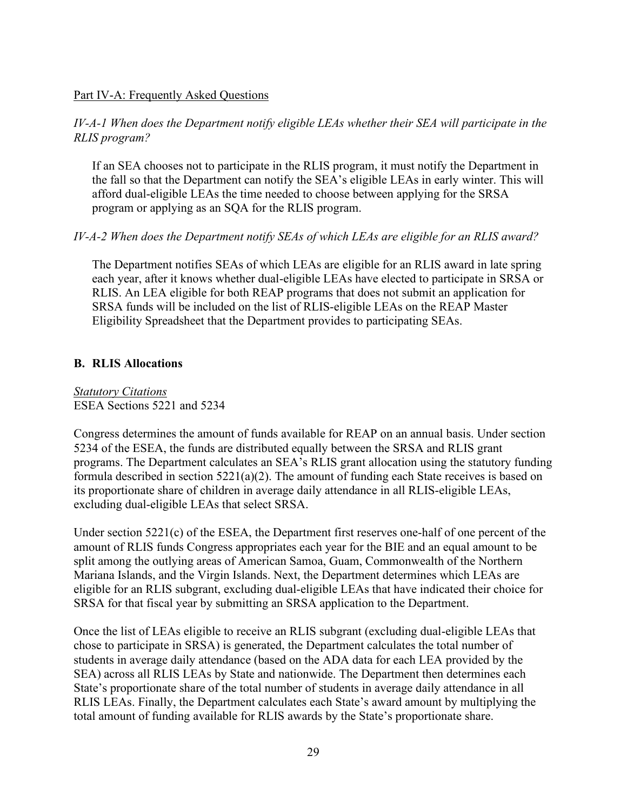#### Part IV-A: Frequently Asked Questions

#### *IV-A-1 When does the Department notify eligible LEAs whether their SEA will participate in the RLIS program?*

If an SEA chooses not to participate in the RLIS program, it must notify the Department in the fall so that the Department can notify the SEA's eligible LEAs in early winter. This will afford dual-eligible LEAs the time needed to choose between applying for the SRSA program or applying as an SQA for the RLIS program.

#### *IV-A-2 When does the Department notify SEAs of which LEAs are eligible for an RLIS award?*

The Department notifies SEAs of which LEAs are eligible for an RLIS award in late spring each year, after it knows whether dual-eligible LEAs have elected to participate in SRSA or RLIS. An LEA eligible for both REAP programs that does not submit an application for SRSA funds will be included on the list of RLIS-eligible LEAs on the REAP Master Eligibility Spreadsheet that the Department provides to participating SEAs.

#### <span id="page-34-0"></span>**B. RLIS Allocations**

*Statutory Citations* ESEA Sections 5221 and 5234

Congress determines the amount of funds available for REAP on an annual basis. Under section 5234 of the ESEA, the funds are distributed equally between the SRSA and RLIS grant programs. The Department calculates an SEA's RLIS grant allocation using the statutory funding formula described in section 5221(a)(2). The amount of funding each State receives is based on its proportionate share of children in average daily attendance in all RLIS-eligible LEAs, excluding dual-eligible LEAs that select SRSA.

Under section 5221(c) of the ESEA, the Department first reserves one-half of one percent of the amount of RLIS funds Congress appropriates each year for the BIE and an equal amount to be split among the outlying areas of American Samoa, Guam, Commonwealth of the Northern Mariana Islands, and the Virgin Islands. Next, the Department determines which LEAs are eligible for an RLIS subgrant, excluding dual-eligible LEAs that have indicated their choice for SRSA for that fiscal year by submitting an SRSA application to the Department.

Once the list of LEAs eligible to receive an RLIS subgrant (excluding dual-eligible LEAs that chose to participate in SRSA) is generated, the Department calculates the total number of students in average daily attendance (based on the ADA data for each LEA provided by the SEA) across all RLIS LEAs by State and nationwide. The Department then determines each State's proportionate share of the total number of students in average daily attendance in all RLIS LEAs. Finally, the Department calculates each State's award amount by multiplying the total amount of funding available for RLIS awards by the State's proportionate share.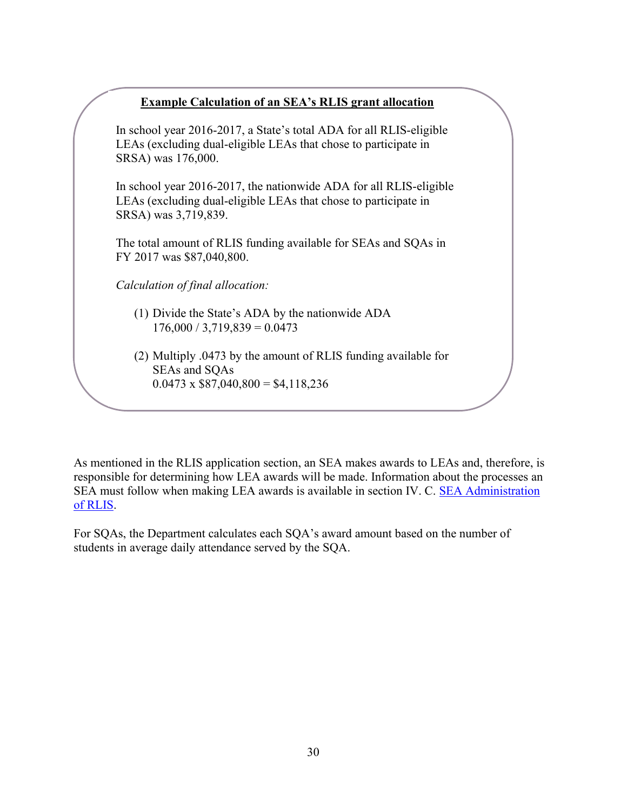# <u>xample Calculation of an SEA's RLIS grant allocatio</u>

In school year 2016-2017, a State's total ADA for all RLIS-eligible LEAs (excluding dual-eligible LEAs that chose to participate in **Example Calculation of an SEA's RLIS grant allocation**<br>chool year 2016-2017, a State's total ADA for all RLIS-eligit<br>As (excluding dual-eligible LEAs that chose to participate in<br>SA) was 176,000.<br>chool year 2016-2017, the SRSA) was 176,000.

In school year 2016-2017, the nationwide ADA for all RLIS-eligible  $SRSA)$  was 3,719,839. LEAs (excluding dual-eligible LEAs that chose to participate in

*Calculation of final allocation:* FY 2017 was \$87,040,800. The total amount of RLIS funding available for SEAs and SQAs in

 $Calculation$  of final allocation:

j

- $176,000 / 3,719,839 = 0.0473$ (1) Divide the State's ADA by the nationwide ADA
- (2) Multiply .0473 by the amount of RLIS funding available for SEAs and SQAs  $0.0473 \times $87,040,800 = $4,118,236$

As mentioned in the RLIS application section, an SEA makes awards to LEAs and, therefore, is responsible for determining how LEA awards will be made. Information about the processes an SEA must follow when making LEA awards is available in section IV. C. [SEA Administration](#page-35-0) [of RLIS.](#page-35-0)

<span id="page-35-0"></span>For SQAs, the Department calculates each SQA's award amount based on the number of students in average daily attendance served by the SQA.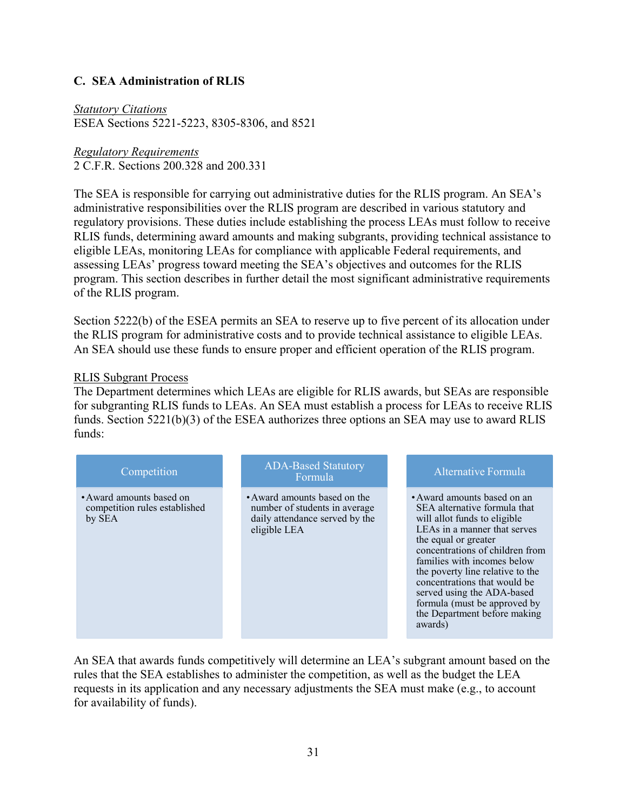# <span id="page-36-0"></span>**C. SEA Administration of RLIS**

*Statutory Citations* ESEA Sections 5221-5223, 8305-8306, and 8521

*Regulatory Requirements* 2 C.F.R. Sections 200.328 and 200.331

The SEA is responsible for carrying out administrative duties for the RLIS program. An SEA's administrative responsibilities over the RLIS program are described in various statutory and regulatory provisions. These duties include establishing the process LEAs must follow to receive RLIS funds, determining award amounts and making subgrants, providing technical assistance to eligible LEAs, monitoring LEAs for compliance with applicable Federal requirements, and assessing LEAs' progress toward meeting the SEA's objectives and outcomes for the RLIS program. This section describes in further detail the most significant administrative requirements of the RLIS program.

Section 5222(b) of the ESEA permits an SEA to reserve up to five percent of its allocation under the RLIS program for administrative costs and to provide technical assistance to eligible LEAs. An SEA should use these funds to ensure proper and efficient operation of the RLIS program.

#### RLIS Subgrant Process

The Department determines which LEAs are eligible for RLIS awards, but SEAs are responsible for subgranting RLIS funds to LEAs. An SEA must establish a process for LEAs to receive RLIS funds. Section 5221(b)(3) of the ESEA authorizes three options an SEA may use to award RLIS funds:

| Competition                                                         | <b>ADA-Based Statutory</b><br>Formula                                                                           | Alternative Formula                                                                                                                                                                                                                                                                                                                                                                                |
|---------------------------------------------------------------------|-----------------------------------------------------------------------------------------------------------------|----------------------------------------------------------------------------------------------------------------------------------------------------------------------------------------------------------------------------------------------------------------------------------------------------------------------------------------------------------------------------------------------------|
| • Award amounts based on<br>competition rules established<br>by SEA | • Award amounts based on the<br>number of students in average<br>daily attendance served by the<br>eligible LEA | • Award amounts based on an<br>SEA alternative formula that<br>will allot funds to eligible<br>LEAs in a manner that serves<br>the equal or greater<br>concentrations of children from<br>families with incomes below<br>the poverty line relative to the<br>concentrations that would be<br>served using the ADA-based<br>formula (must be approved by<br>the Department before making<br>awards) |

An SEA that awards funds competitively will determine an LEA's subgrant amount based on the rules that the SEA establishes to administer the competition, as well as the budget the LEA requests in its application and any necessary adjustments the SEA must make (e.g., to account for availability of funds).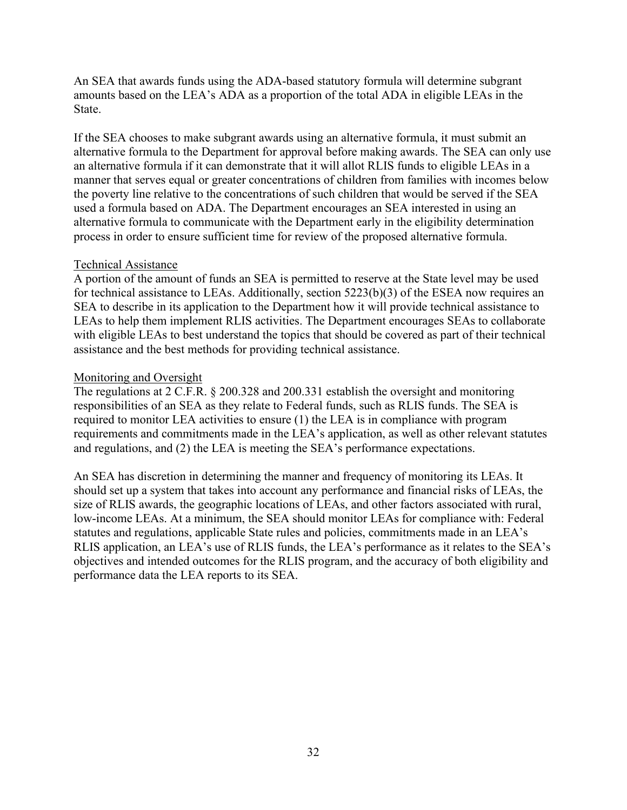An SEA that awards funds using the ADA-based statutory formula will determine subgrant amounts based on the LEA's ADA as a proportion of the total ADA in eligible LEAs in the State.

If the SEA chooses to make subgrant awards using an alternative formula, it must submit an alternative formula to the Department for approval before making awards. The SEA can only use an alternative formula if it can demonstrate that it will allot RLIS funds to eligible LEAs in a manner that serves equal or greater concentrations of children from families with incomes below the poverty line relative to the concentrations of such children that would be served if the SEA used a formula based on ADA. The Department encourages an SEA interested in using an alternative formula to communicate with the Department early in the eligibility determination process in order to ensure sufficient time for review of the proposed alternative formula.

### Technical Assistance

A portion of the amount of funds an SEA is permitted to reserve at the State level may be used for technical assistance to LEAs. Additionally, section 5223(b)(3) of the ESEA now requires an SEA to describe in its application to the Department how it will provide technical assistance to LEAs to help them implement RLIS activities. The Department encourages SEAs to collaborate with eligible LEAs to best understand the topics that should be covered as part of their technical assistance and the best methods for providing technical assistance.

### Monitoring and Oversight

The regulations at 2 C.F.R. § 200.328 and 200.331 establish the oversight and monitoring responsibilities of an SEA as they relate to Federal funds, such as RLIS funds. The SEA is required to monitor LEA activities to ensure (1) the LEA is in compliance with program requirements and commitments made in the LEA's application, as well as other relevant statutes and regulations, and (2) the LEA is meeting the SEA's performance expectations.

An SEA has discretion in determining the manner and frequency of monitoring its LEAs. It should set up a system that takes into account any performance and financial risks of LEAs, the size of RLIS awards, the geographic locations of LEAs, and other factors associated with rural, low-income LEAs. At a minimum, the SEA should monitor LEAs for compliance with: Federal statutes and regulations, applicable State rules and policies, commitments made in an LEA's RLIS application, an LEA's use of RLIS funds, the LEA's performance as it relates to the SEA's objectives and intended outcomes for the RLIS program, and the accuracy of both eligibility and performance data the LEA reports to its SEA.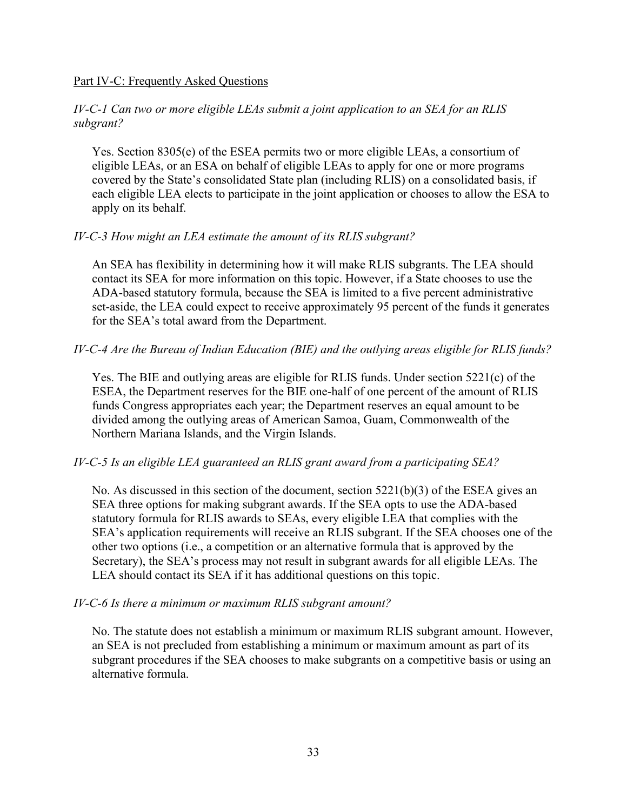#### Part IV-C: Frequently Asked Questions

#### *IV-C-1 Can two or more eligible LEAs submit a joint application to an SEA for an RLIS subgrant?*

Yes. Section 8305(e) of the ESEA permits two or more eligible LEAs, a consortium of eligible LEAs, or an ESA on behalf of eligible LEAs to apply for one or more programs covered by the State's consolidated State plan (including RLIS) on a consolidated basis, if each eligible LEA elects to participate in the joint application or chooses to allow the ESA to apply on its behalf.

#### *IV-C-3 How might an LEA estimate the amount of its RLIS subgrant?*

An SEA has flexibility in determining how it will make RLIS subgrants. The LEA should contact its SEA for more information on this topic. However, if a State chooses to use the ADA-based statutory formula, because the SEA is limited to a five percent administrative set-aside, the LEA could expect to receive approximately 95 percent of the funds it generates for the SEA's total award from the Department.

### *IV-C-4 Are the Bureau of Indian Education (BIE) and the outlying areas eligible for RLIS funds?*

Yes. The BIE and outlying areas are eligible for RLIS funds. Under section 5221(c) of the ESEA, the Department reserves for the BIE one-half of one percent of the amount of RLIS funds Congress appropriates each year; the Department reserves an equal amount to be divided among the outlying areas of American Samoa, Guam, Commonwealth of the Northern Mariana Islands, and the Virgin Islands.

#### *IV-C-5 Is an eligible LEA guaranteed an RLIS grant award from a participating SEA?*

No. As discussed in this section of the document, section  $5221(b)(3)$  of the ESEA gives an SEA three options for making subgrant awards. If the SEA opts to use the ADA-based statutory formula for RLIS awards to SEAs, every eligible LEA that complies with the SEA's application requirements will receive an RLIS subgrant. If the SEA chooses one of the other two options (i.e., a competition or an alternative formula that is approved by the Secretary), the SEA's process may not result in subgrant awards for all eligible LEAs. The LEA should contact its SEA if it has additional questions on this topic.

#### *IV-C-6 Is there a minimum or maximum RLIS subgrant amount?*

No. The statute does not establish a minimum or maximum RLIS subgrant amount. However, an SEA is not precluded from establishing a minimum or maximum amount as part of its subgrant procedures if the SEA chooses to make subgrants on a competitive basis or using an alternative formula.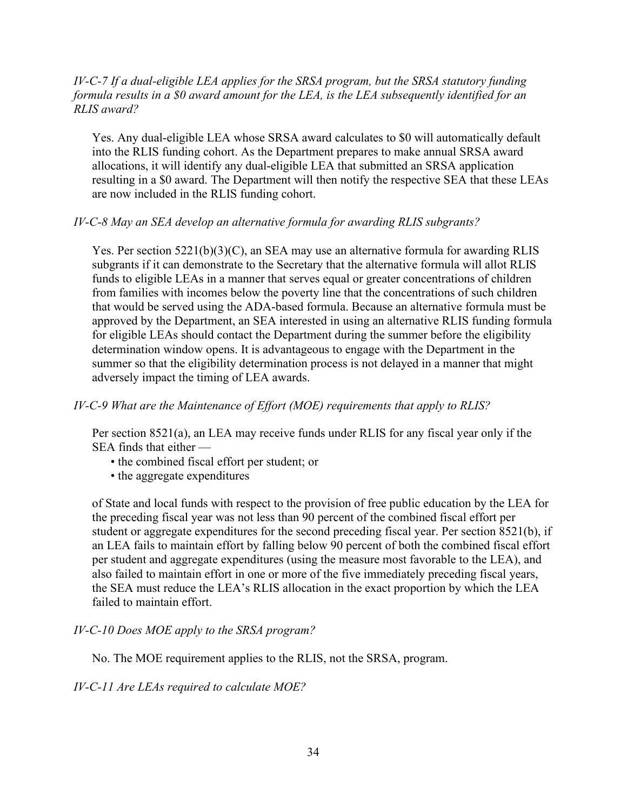### *IV-C-7 If a dual-eligible LEA applies for the SRSA program, but the SRSA statutory funding formula results in a \$0 award amount for the LEA, is the LEA subsequently identified for an RLIS award?*

Yes. Any dual-eligible LEA whose SRSA award calculates to \$0 will automatically default into the RLIS funding cohort. As the Department prepares to make annual SRSA award allocations, it will identify any dual-eligible LEA that submitted an SRSA application resulting in a \$0 award. The Department will then notify the respective SEA that these LEAs are now included in the RLIS funding cohort.

### *IV-C-8 May an SEA develop an alternative formula for awarding RLIS subgrants?*

Yes. Per section 5221(b)(3)(C), an SEA may use an alternative formula for awarding RLIS subgrants if it can demonstrate to the Secretary that the alternative formula will allot RLIS funds to eligible LEAs in a manner that serves equal or greater concentrations of children from families with incomes below the poverty line that the concentrations of such children that would be served using the ADA-based formula. Because an alternative formula must be approved by the Department, an SEA interested in using an alternative RLIS funding formula for eligible LEAs should contact the Department during the summer before the eligibility determination window opens. It is advantageous to engage with the Department in the summer so that the eligibility determination process is not delayed in a manner that might adversely impact the timing of LEA awards.

#### *IV-C-9 What are the Maintenance of Effort (MOE) requirements that apply to RLIS?*

Per section 8521(a), an LEA may receive funds under RLIS for any fiscal year only if the SEA finds that either —

- the combined fiscal effort per student; or
- the aggregate expenditures

of State and local funds with respect to the provision of free public education by the LEA for the preceding fiscal year was not less than 90 percent of the combined fiscal effort per student or aggregate expenditures for the second preceding fiscal year. Per section 8521(b), if an LEA fails to maintain effort by falling below 90 percent of both the combined fiscal effort per student and aggregate expenditures (using the measure most favorable to the LEA), and also failed to maintain effort in one or more of the five immediately preceding fiscal years, the SEA must reduce the LEA's RLIS allocation in the exact proportion by which the LEA failed to maintain effort.

#### *IV-C-10 Does MOE apply to the SRSA program?*

No. The MOE requirement applies to the RLIS, not the SRSA, program.

*IV-C-11 Are LEAs required to calculate MOE?*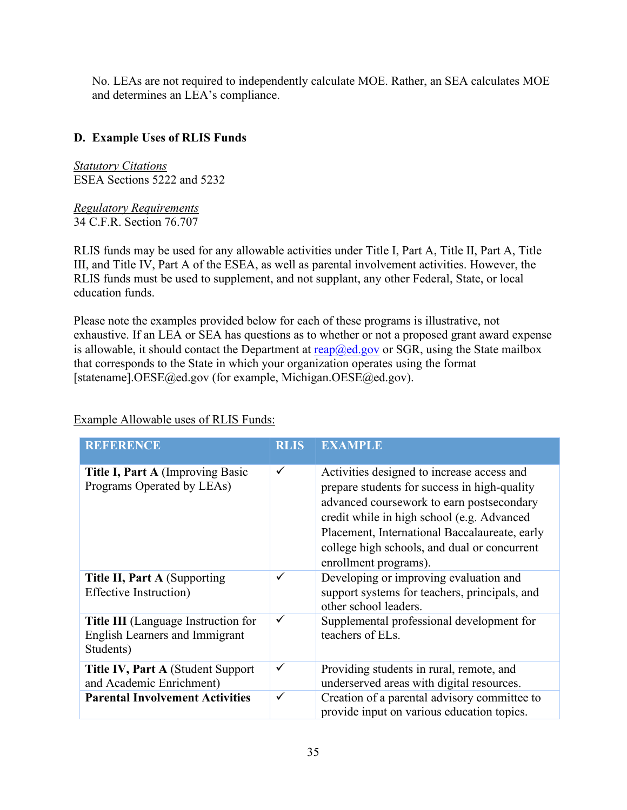No. LEAs are not required to independently calculate MOE. Rather, an SEA calculates MOE and determines an LEA's compliance.

# <span id="page-40-0"></span>**D. Example Uses of RLIS Funds**

*Statutory Citations* ESEA Sections 5222 and 5232

*Regulatory Requirements* 34 C.F.R. Section 76.707

RLIS funds may be used for any allowable activities under Title I, Part A, Title II, Part A, Title III, and Title IV, Part A of the ESEA, as well as parental involvement activities. However, the RLIS funds must be used to supplement, and not supplant, any other Federal, State, or local education funds.

Please note the examples provided below for each of these programs is illustrative, not exhaustive. If an LEA or SEA has questions as to whether or not a proposed grant award expense is allowable, it should contact the Department at  $\text{reap}(\partial \text{ed.gov})$  or SGR, using the State mailbox that corresponds to the State in which your organization operates using the format [statename].OESE@ed.gov (for example, Michigan.OESE@ed.gov).

Example Allowable uses of RLIS Funds:

| <b>REFERENCE</b>                                                                                 | <b>RLIS</b>  | <b>EXAMPLE</b>                                                                                                                                                                                                                                                                                                  |
|--------------------------------------------------------------------------------------------------|--------------|-----------------------------------------------------------------------------------------------------------------------------------------------------------------------------------------------------------------------------------------------------------------------------------------------------------------|
| Title I, Part A (Improving Basic<br>Programs Operated by LEAs)                                   | $\checkmark$ | Activities designed to increase access and<br>prepare students for success in high-quality<br>advanced coursework to earn postsecondary<br>credit while in high school (e.g. Advanced<br>Placement, International Baccalaureate, early<br>college high schools, and dual or concurrent<br>enrollment programs). |
| Title II, Part A (Supporting<br><b>Effective Instruction</b> )                                   | ✓            | Developing or improving evaluation and<br>support systems for teachers, principals, and<br>other school leaders.                                                                                                                                                                                                |
| <b>Title III</b> (Language Instruction for<br><b>English Learners and Immigrant</b><br>Students) | ✓            | Supplemental professional development for<br>teachers of ELs.                                                                                                                                                                                                                                                   |
| Title IV, Part A (Student Support<br>and Academic Enrichment)                                    | ✓            | Providing students in rural, remote, and<br>underserved areas with digital resources.                                                                                                                                                                                                                           |
| <b>Parental Involvement Activities</b>                                                           | ✓            | Creation of a parental advisory committee to<br>provide input on various education topics.                                                                                                                                                                                                                      |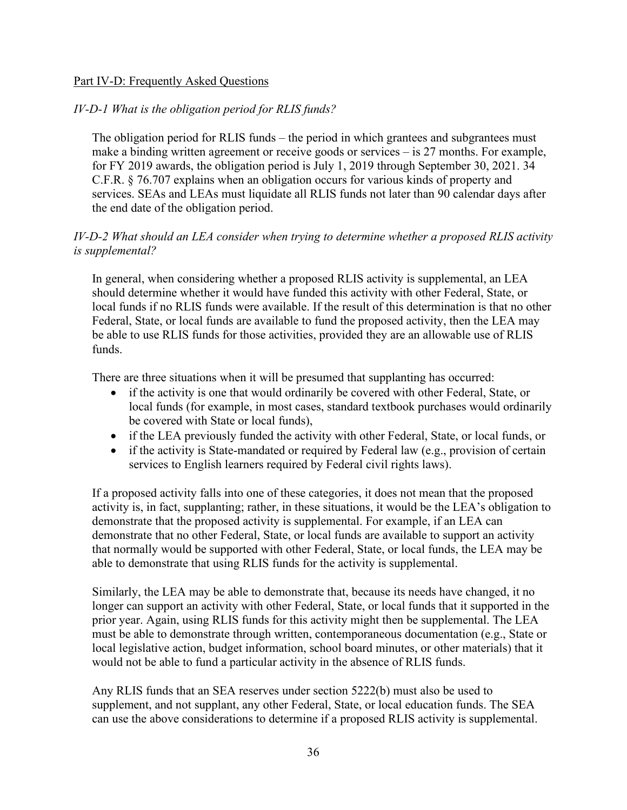### Part IV-D: Frequently Asked Questions

# *IV-D-1 What is the obligation period for RLIS funds?*

The obligation period for RLIS funds – the period in which grantees and subgrantees must make a binding written agreement or receive goods or services – is 27 months. For example, for FY 2019 awards, the obligation period is July 1, 2019 through September 30, 2021. 34 C.F.R. § 76.707 explains when an obligation occurs for various kinds of property and services. SEAs and LEAs must liquidate all RLIS funds not later than 90 calendar days after the end date of the obligation period.

# *IV-D-2 What should an LEA consider when trying to determine whether a proposed RLIS activity is supplemental?*

In general, when considering whether a proposed RLIS activity is supplemental, an LEA should determine whether it would have funded this activity with other Federal, State, or local funds if no RLIS funds were available. If the result of this determination is that no other Federal, State, or local funds are available to fund the proposed activity, then the LEA may be able to use RLIS funds for those activities, provided they are an allowable use of RLIS funds.

There are three situations when it will be presumed that supplanting has occurred:

- if the activity is one that would ordinarily be covered with other Federal, State, or local funds (for example, in most cases, standard textbook purchases would ordinarily be covered with State or local funds),
- if the LEA previously funded the activity with other Federal, State, or local funds, or
- if the activity is State-mandated or required by Federal law (e.g., provision of certain services to English learners required by Federal civil rights laws).

If a proposed activity falls into one of these categories, it does not mean that the proposed activity is, in fact, supplanting; rather, in these situations, it would be the LEA's obligation to demonstrate that the proposed activity is supplemental. For example, if an LEA can demonstrate that no other Federal, State, or local funds are available to support an activity that normally would be supported with other Federal, State, or local funds, the LEA may be able to demonstrate that using RLIS funds for the activity is supplemental.

Similarly, the LEA may be able to demonstrate that, because its needs have changed, it no longer can support an activity with other Federal, State, or local funds that it supported in the prior year. Again, using RLIS funds for this activity might then be supplemental. The LEA must be able to demonstrate through written, contemporaneous documentation (e.g., State or local legislative action, budget information, school board minutes, or other materials) that it would not be able to fund a particular activity in the absence of RLIS funds.

Any RLIS funds that an SEA reserves under section 5222(b) must also be used to supplement, and not supplant, any other Federal, State, or local education funds. The SEA can use the above considerations to determine if a proposed RLIS activity is supplemental.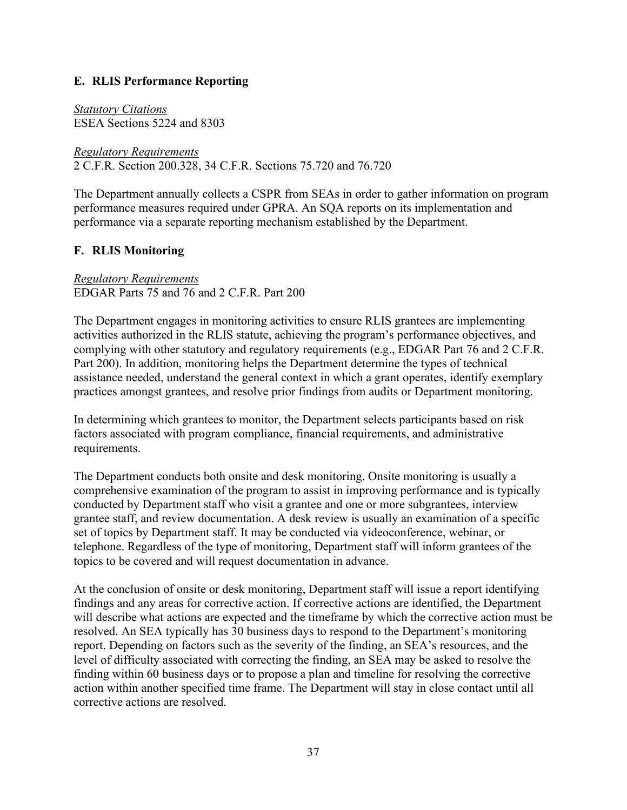# <span id="page-42-0"></span>**E. RLIS Performance Reporting**

*Statutory Citations* ESEA Sections 5224 and 8303

*Regulatory Requirements* 2 C.F.R. Section 200.328, 34 C.F.R. Sections 75.720 and 76.720

The Department annually collects a CSPR from SEAs in order to gather information on program performance measures required under GPRA. An SQA reports on its implementation and performance via a separate reporting mechanism established by the Department.

# <span id="page-42-1"></span>**F. RLIS Monitoring**

### *Regulatory Requirements* EDGAR Parts 75 and 76 and 2 C.F.R. Part 200

The Department engages in monitoring activities to ensure RLIS grantees are implementing activities authorized in the RLIS statute, achieving the program's performance objectives, and complying with other statutory and regulatory requirements (e.g., EDGAR Part 76 and 2 C.F.R. Part 200). In addition, monitoring helps the Department determine the types of technical assistance needed, understand the general context in which a grant operates, identify exemplary practices amongst grantees, and resolve prior findings from audits or Department monitoring.

In determining which grantees to monitor, the Department selects participants based on risk factors associated with program compliance, financial requirements, and administrative requirements.

The Department conducts both onsite and desk monitoring. Onsite monitoring is usually a comprehensive examination of the program to assist in improving performance and is typically conducted by Department staff who visit a grantee and one or more subgrantees, interview grantee staff, and review documentation. A desk review is usually an examination of a specific set of topics by Department staff. It may be conducted via videoconference, webinar, or telephone. Regardless of the type of monitoring, Department staff will inform grantees of the topics to be covered and will request documentation in advance.

At the conclusion of onsite or desk monitoring, Department staff will issue a report identifying findings and any areas for corrective action. If corrective actions are identified, the Department will describe what actions are expected and the timeframe by which the corrective action must be resolved. An SEA typically has 30 business days to respond to the Department's monitoring report. Depending on factors such as the severity of the finding, an SEA's resources, and the level of difficulty associated with correcting the finding, an SEA may be asked to resolve the finding within 60 business days or to propose a plan and timeline for resolving the corrective action within another specified time frame. The Department will stay in close contact until all corrective actions are resolved.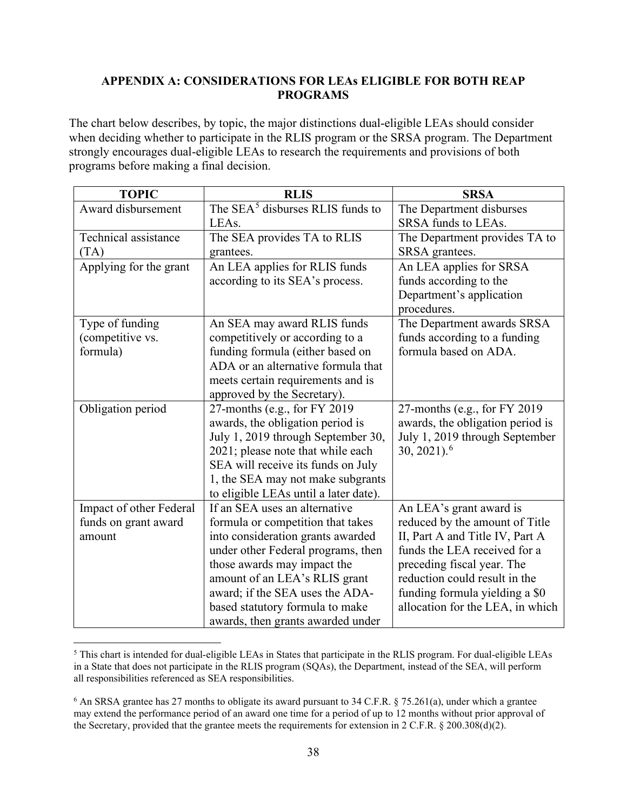### <span id="page-43-0"></span>**APPENDIX A: CONSIDERATIONS FOR LEAs ELIGIBLE FOR BOTH REAP PROGRAMS**

The chart below describes, by topic, the major distinctions dual-eligible LEAs should consider when deciding whether to participate in the RLIS program or the SRSA program. The Department strongly encourages dual-eligible LEAs to research the requirements and provisions of both programs before making a final decision.

| <b>TOPIC</b>            | <b>RLIS</b>                                  | <b>SRSA</b>                      |
|-------------------------|----------------------------------------------|----------------------------------|
| Award disbursement      | The SEA <sup>5</sup> disburses RLIS funds to | The Department disburses         |
|                         | LEAs.                                        | SRSA funds to LEAs.              |
| Technical assistance    | The SEA provides TA to RLIS                  | The Department provides TA to    |
| (TA)                    | grantees.                                    | SRSA grantees.                   |
| Applying for the grant  | An LEA applies for RLIS funds                | An LEA applies for SRSA          |
|                         | according to its SEA's process.              | funds according to the           |
|                         |                                              | Department's application         |
|                         |                                              | procedures.                      |
| Type of funding         | An SEA may award RLIS funds                  | The Department awards SRSA       |
| (competitive vs.        | competitively or according to a              | funds according to a funding     |
| formula)                | funding formula (either based on             | formula based on ADA.            |
|                         | ADA or an alternative formula that           |                                  |
|                         | meets certain requirements and is            |                                  |
|                         | approved by the Secretary).                  |                                  |
| Obligation period       | 27-months (e.g., for FY 2019)                | 27-months (e.g., for FY 2019     |
|                         | awards, the obligation period is             | awards, the obligation period is |
|                         | July 1, 2019 through September 30,           | July 1, 2019 through September   |
|                         | 2021; please note that while each            | $30, 2021$ . <sup>6</sup>        |
|                         | SEA will receive its funds on July           |                                  |
|                         | 1, the SEA may not make subgrants            |                                  |
|                         | to eligible LEAs until a later date).        |                                  |
| Impact of other Federal | If an SEA uses an alternative                | An LEA's grant award is          |
| funds on grant award    | formula or competition that takes            | reduced by the amount of Title   |
| amount                  | into consideration grants awarded            | II, Part A and Title IV, Part A  |
|                         | under other Federal programs, then           | funds the LEA received for a     |
|                         | those awards may impact the                  | preceding fiscal year. The       |
|                         | amount of an LEA's RLIS grant                | reduction could result in the    |
|                         | award; if the SEA uses the ADA-              | funding formula yielding a \$0   |
|                         | based statutory formula to make              | allocation for the LEA, in which |
|                         | awards, then grants awarded under            |                                  |

<span id="page-43-1"></span><sup>5</sup> This chart is intended for dual-eligible LEAs in States that participate in the RLIS program. For dual-eligible LEAs in a State that does not participate in the RLIS program (SQAs), the Department, instead of the SEA, will perform all responsibilities referenced as SEA responsibilities.

<span id="page-43-2"></span><sup>&</sup>lt;sup>6</sup> An SRSA grantee has 27 months to obligate its award pursuant to 34 C.F.R. § 75.261(a), under which a grantee may extend the performance period of an award one time for a period of up to 12 months without prior approval of the Secretary, provided that the grantee meets the requirements for extension in 2 C.F.R. § 200.308(d)(2).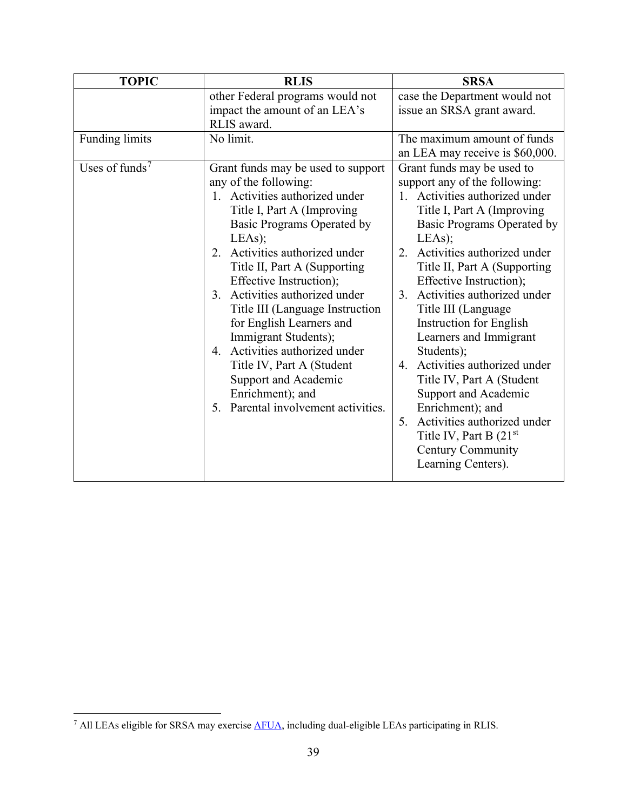| <b>TOPIC</b>               | <b>RLIS</b>                                                                                                                                                                                                                                                                                                                                                                                                                                                                                                                                           | <b>SRSA</b>                                                                                                                                                                                                                                                                                                                                                                                                                                                                                                                                                                                                                              |
|----------------------------|-------------------------------------------------------------------------------------------------------------------------------------------------------------------------------------------------------------------------------------------------------------------------------------------------------------------------------------------------------------------------------------------------------------------------------------------------------------------------------------------------------------------------------------------------------|------------------------------------------------------------------------------------------------------------------------------------------------------------------------------------------------------------------------------------------------------------------------------------------------------------------------------------------------------------------------------------------------------------------------------------------------------------------------------------------------------------------------------------------------------------------------------------------------------------------------------------------|
|                            | other Federal programs would not                                                                                                                                                                                                                                                                                                                                                                                                                                                                                                                      | case the Department would not                                                                                                                                                                                                                                                                                                                                                                                                                                                                                                                                                                                                            |
|                            | impact the amount of an LEA's                                                                                                                                                                                                                                                                                                                                                                                                                                                                                                                         | issue an SRSA grant award.                                                                                                                                                                                                                                                                                                                                                                                                                                                                                                                                                                                                               |
|                            | RLIS award.                                                                                                                                                                                                                                                                                                                                                                                                                                                                                                                                           |                                                                                                                                                                                                                                                                                                                                                                                                                                                                                                                                                                                                                                          |
| <b>Funding limits</b>      | No limit.                                                                                                                                                                                                                                                                                                                                                                                                                                                                                                                                             | The maximum amount of funds                                                                                                                                                                                                                                                                                                                                                                                                                                                                                                                                                                                                              |
|                            |                                                                                                                                                                                                                                                                                                                                                                                                                                                                                                                                                       | an LEA may receive is \$60,000.                                                                                                                                                                                                                                                                                                                                                                                                                                                                                                                                                                                                          |
| Uses of funds <sup>7</sup> | Grant funds may be used to support<br>any of the following:<br>1. Activities authorized under<br>Title I, Part A (Improving<br>Basic Programs Operated by<br>LEAs);<br>Activities authorized under<br>2.<br>Title II, Part A (Supporting)<br>Effective Instruction);<br>Activities authorized under<br>3.<br>Title III (Language Instruction<br>for English Learners and<br>Immigrant Students);<br>Activities authorized under<br>4.<br>Title IV, Part A (Student<br>Support and Academic<br>Enrichment); and<br>5. Parental involvement activities. | Grant funds may be used to<br>support any of the following:<br>1. Activities authorized under<br>Title I, Part A (Improving<br>Basic Programs Operated by<br>LEAs);<br>Activities authorized under<br>2.<br>Title II, Part A (Supporting<br>Effective Instruction);<br>Activities authorized under<br>3.<br>Title III (Language<br><b>Instruction for English</b><br>Learners and Immigrant<br>Students);<br>4. Activities authorized under<br>Title IV, Part A (Student<br>Support and Academic<br>Enrichment); and<br>Activities authorized under<br>5.<br>Title IV, Part B $(21st)$<br><b>Century Community</b><br>Learning Centers). |

<span id="page-44-0"></span><sup>7</sup> All LEAs eligible for SRSA may exercise [AFUA,](#page-29-0) including dual-eligible LEAs participating in RLIS.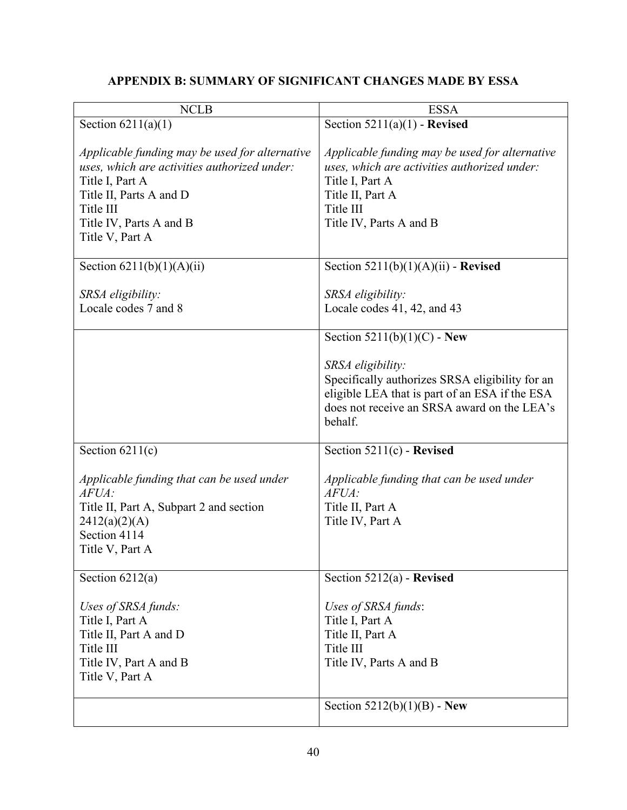# **APPENDIX B: SUMMARY OF SIGNIFICANT CHANGES MADE BY ESSA**

<span id="page-45-0"></span>

| <b>NCLB</b>                                                                                                                                                                                             | <b>ESSA</b>                                                                                                                                                                   |
|---------------------------------------------------------------------------------------------------------------------------------------------------------------------------------------------------------|-------------------------------------------------------------------------------------------------------------------------------------------------------------------------------|
| Section $6211(a)(1)$                                                                                                                                                                                    | Section $5211(a)(1)$ - Revised                                                                                                                                                |
| Applicable funding may be used for alternative<br>uses, which are activities authorized under:<br>Title I, Part A<br>Title II, Parts A and D<br>Title III<br>Title IV, Parts A and B<br>Title V, Part A | Applicable funding may be used for alternative<br>uses, which are activities authorized under:<br>Title I, Part A<br>Title II, Part A<br>Title III<br>Title IV, Parts A and B |
| Section $6211(b)(1)(A)(ii)$                                                                                                                                                                             | Section $5211(b)(1)(A)(ii)$ - Revised                                                                                                                                         |
| SRSA eligibility:<br>Locale codes 7 and 8                                                                                                                                                               | SRSA eligibility:<br>Locale codes 41, 42, and 43<br>Section $5211(b)(1)(C)$ - New<br>SRSA eligibility:                                                                        |
|                                                                                                                                                                                                         | Specifically authorizes SRSA eligibility for an<br>eligible LEA that is part of an ESA if the ESA<br>does not receive an SRSA award on the LEA's<br>behalf.                   |
| Section $6211(c)$                                                                                                                                                                                       | Section 5211(c) - Revised                                                                                                                                                     |
| Applicable funding that can be used under<br>AFUA:<br>Title II, Part A, Subpart 2 and section<br>2412(a)(2)(A)<br>Section 4114<br>Title V, Part A                                                       | Applicable funding that can be used under<br>AFUA:<br>Title II, Part A<br>Title IV, Part A                                                                                    |
| Section $6212(a)$                                                                                                                                                                                       | Section $5212(a)$ - Revised                                                                                                                                                   |
| Uses of SRSA funds:<br>Title I, Part A<br>Title II, Part A and D<br>Title III<br>Title IV, Part A and B<br>Title V, Part A                                                                              | Uses of SRSA funds:<br>Title I, Part A<br>Title II, Part A<br>Title III<br>Title IV, Parts A and B                                                                            |
|                                                                                                                                                                                                         | Section $5212(b)(1)(B)$ - New                                                                                                                                                 |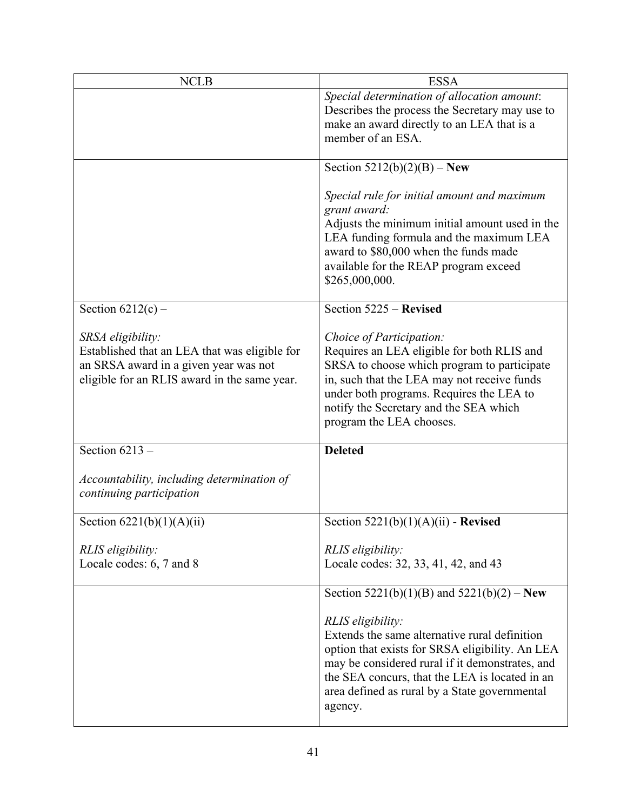| <b>NCLB</b>                                                                                                                                                 | <b>ESSA</b>                                                                                                                                                                                                                                                                            |
|-------------------------------------------------------------------------------------------------------------------------------------------------------------|----------------------------------------------------------------------------------------------------------------------------------------------------------------------------------------------------------------------------------------------------------------------------------------|
|                                                                                                                                                             | Special determination of allocation amount:<br>Describes the process the Secretary may use to<br>make an award directly to an LEA that is a<br>member of an ESA.                                                                                                                       |
|                                                                                                                                                             | Section $5212(b)(2)(B) - New$                                                                                                                                                                                                                                                          |
|                                                                                                                                                             | Special rule for initial amount and maximum<br>grant award:<br>Adjusts the minimum initial amount used in the<br>LEA funding formula and the maximum LEA<br>award to \$80,000 when the funds made<br>available for the REAP program exceed<br>\$265,000,000.                           |
| Section $6212(c)$ –                                                                                                                                         | Section 5225 - Revised                                                                                                                                                                                                                                                                 |
| SRSA eligibility:<br>Established that an LEA that was eligible for<br>an SRSA award in a given year was not<br>eligible for an RLIS award in the same year. | Choice of Participation:<br>Requires an LEA eligible for both RLIS and<br>SRSA to choose which program to participate<br>in, such that the LEA may not receive funds<br>under both programs. Requires the LEA to<br>notify the Secretary and the SEA which<br>program the LEA chooses. |
| Section $6213 -$                                                                                                                                            | <b>Deleted</b>                                                                                                                                                                                                                                                                         |
| Accountability, including determination of<br>continuing participation                                                                                      |                                                                                                                                                                                                                                                                                        |
| Section $6221(b)(1)(A)(ii)$                                                                                                                                 | Section $5221(b)(1)(A)(ii)$ - Revised                                                                                                                                                                                                                                                  |
| RLIS eligibility:<br>Locale codes: 6, 7 and 8                                                                                                               | RLIS eligibility:<br>Locale codes: 32, 33, 41, 42, and 43                                                                                                                                                                                                                              |
|                                                                                                                                                             | Section 5221(b)(1)(B) and 5221(b)(2) – New                                                                                                                                                                                                                                             |
|                                                                                                                                                             | RLIS eligibility:<br>Extends the same alternative rural definition<br>option that exists for SRSA eligibility. An LEA<br>may be considered rural if it demonstrates, and<br>the SEA concurs, that the LEA is located in an<br>area defined as rural by a State governmental<br>agency. |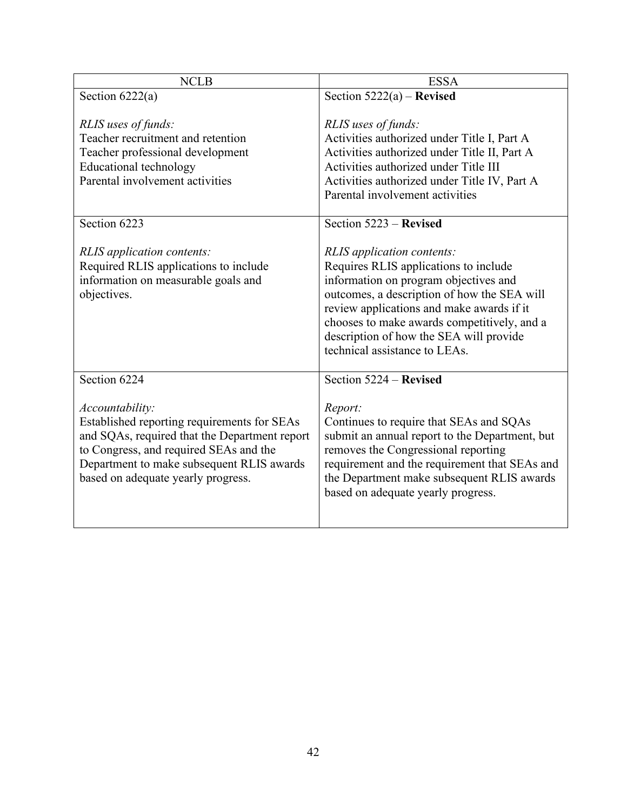| <b>NCLB</b>                                                                                                                                                                                                                                         | <b>ESSA</b>                                                                                                                                                                                                                                                                                                                         |
|-----------------------------------------------------------------------------------------------------------------------------------------------------------------------------------------------------------------------------------------------------|-------------------------------------------------------------------------------------------------------------------------------------------------------------------------------------------------------------------------------------------------------------------------------------------------------------------------------------|
| Section $6222(a)$                                                                                                                                                                                                                                   | Section $5222(a)$ – Revised                                                                                                                                                                                                                                                                                                         |
| RLIS uses of funds:<br>Teacher recruitment and retention<br>Teacher professional development<br><b>Educational technology</b><br>Parental involvement activities                                                                                    | RLIS uses of funds:<br>Activities authorized under Title I, Part A<br>Activities authorized under Title II, Part A<br>Activities authorized under Title III<br>Activities authorized under Title IV, Part A<br>Parental involvement activities                                                                                      |
| Section 6223                                                                                                                                                                                                                                        | Section 5223 - Revised                                                                                                                                                                                                                                                                                                              |
| <b>RLIS</b> application contents:<br>Required RLIS applications to include<br>information on measurable goals and<br>objectives.                                                                                                                    | RLIS application contents:<br>Requires RLIS applications to include<br>information on program objectives and<br>outcomes, a description of how the SEA will<br>review applications and make awards if it<br>chooses to make awards competitively, and a<br>description of how the SEA will provide<br>technical assistance to LEAs. |
| Section 6224                                                                                                                                                                                                                                        | Section 5224 – Revised                                                                                                                                                                                                                                                                                                              |
| <i>Accountability:</i><br>Established reporting requirements for SEAs<br>and SQAs, required that the Department report<br>to Congress, and required SEAs and the<br>Department to make subsequent RLIS awards<br>based on adequate yearly progress. | Report:<br>Continues to require that SEAs and SQAs<br>submit an annual report to the Department, but<br>removes the Congressional reporting<br>requirement and the requirement that SEAs and<br>the Department make subsequent RLIS awards<br>based on adequate yearly progress.                                                    |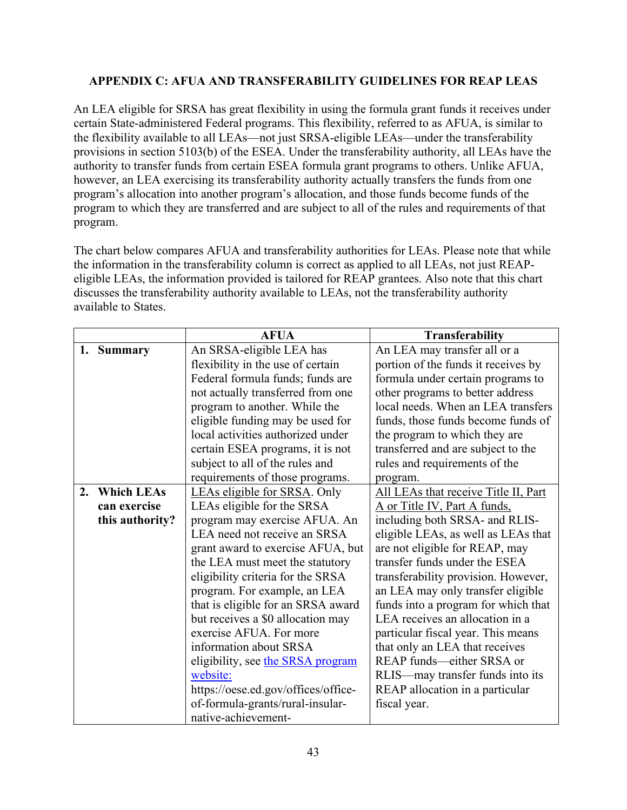# <span id="page-48-0"></span>**APPENDIX C: AFUA AND TRANSFERABILITY GUIDELINES FOR REAP LEAS**

An LEA eligible for SRSA has great flexibility in using the formula grant funds it receives under certain State-administered Federal programs. This flexibility, referred to as AFUA, is similar to the flexibility available to all LEAs—not just SRSA-eligible LEAs—under the transferability provisions in section 5103(b) of the ESEA. Under the transferability authority, all LEAs have the authority to transfer funds from certain ESEA formula grant programs to others. Unlike AFUA, however, an LEA exercising its transferability authority actually transfers the funds from one program's allocation into another program's allocation, and those funds become funds of the program to which they are transferred and are subject to all of the rules and requirements of that program.

The chart below compares AFUA and transferability authorities for LEAs. Please note that while the information in the transferability column is correct as applied to all LEAs, not just REAPeligible LEAs, the information provided is tailored for REAP grantees. Also note that this chart discusses the transferability authority available to LEAs, not the transferability authority available to States.

|    |                   | <b>AFUA</b>                         | <b>Transferability</b>               |
|----|-------------------|-------------------------------------|--------------------------------------|
|    | 1. Summary        | An SRSA-eligible LEA has            | An LEA may transfer all or a         |
|    |                   | flexibility in the use of certain   | portion of the funds it receives by  |
|    |                   | Federal formula funds; funds are    | formula under certain programs to    |
|    |                   | not actually transferred from one   | other programs to better address     |
|    |                   | program to another. While the       | local needs. When an LEA transfers   |
|    |                   | eligible funding may be used for    | funds, those funds become funds of   |
|    |                   | local activities authorized under   | the program to which they are        |
|    |                   | certain ESEA programs, it is not    | transferred and are subject to the   |
|    |                   | subject to all of the rules and     | rules and requirements of the        |
|    |                   | requirements of those programs.     | program.                             |
| 2. | <b>Which LEAs</b> | LEAs eligible for SRSA. Only        | All LEAs that receive Title II, Part |
|    | can exercise      | LEAs eligible for the SRSA          | A or Title IV, Part A funds,         |
|    | this authority?   | program may exercise AFUA. An       | including both SRSA- and RLIS-       |
|    |                   | LEA need not receive an SRSA        | eligible LEAs, as well as LEAs that  |
|    |                   | grant award to exercise AFUA, but   | are not eligible for REAP, may       |
|    |                   | the LEA must meet the statutory     | transfer funds under the ESEA        |
|    |                   | eligibility criteria for the SRSA   | transferability provision. However,  |
|    |                   | program. For example, an LEA        | an LEA may only transfer eligible    |
|    |                   | that is eligible for an SRSA award  | funds into a program for which that  |
|    |                   | but receives a \$0 allocation may   | LEA receives an allocation in a      |
|    |                   | exercise AFUA. For more             | particular fiscal year. This means   |
|    |                   | information about SRSA              | that only an LEA that receives       |
|    |                   | eligibility, see the SRSA program   | REAP funds-either SRSA or            |
|    |                   | website:                            | RLIS—may transfer funds into its     |
|    |                   | https://oese.ed.gov/offices/office- | REAP allocation in a particular      |
|    |                   | of-formula-grants/rural-insular-    | fiscal year.                         |
|    |                   | native-achievement-                 |                                      |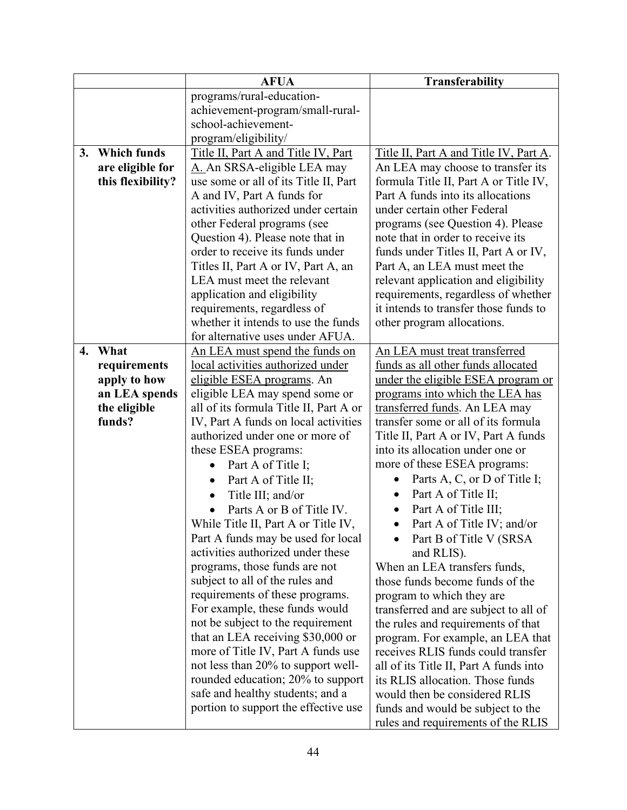|    |                    | <b>AFUA</b>                            | <b>Transferability</b>                  |
|----|--------------------|----------------------------------------|-----------------------------------------|
|    |                    | programs/rural-education-              |                                         |
|    |                    | achievement-program/small-rural-       |                                         |
|    |                    | school-achievement-                    |                                         |
|    |                    | program/eligibility/                   |                                         |
| 3. | <b>Which funds</b> | Title II, Part A and Title IV, Part    | Title II, Part A and Title IV, Part A.  |
|    | are eligible for   | A. An SRSA-eligible LEA may            | An LEA may choose to transfer its       |
|    | this flexibility?  | use some or all of its Title II, Part  | formula Title II, Part A or Title IV,   |
|    |                    | A and IV, Part A funds for             | Part A funds into its allocations       |
|    |                    | activities authorized under certain    | under certain other Federal             |
|    |                    | other Federal programs (see            | programs (see Question 4). Please       |
|    |                    | Question 4). Please note that in       | note that in order to receive its       |
|    |                    | order to receive its funds under       | funds under Titles II, Part A or IV,    |
|    |                    | Titles II, Part A or IV, Part A, an    | Part A, an LEA must meet the            |
|    |                    | LEA must meet the relevant             | relevant application and eligibility    |
|    |                    | application and eligibility            | requirements, regardless of whether     |
|    |                    | requirements, regardless of            | it intends to transfer those funds to   |
|    |                    | whether it intends to use the funds    | other program allocations.              |
|    |                    | for alternative uses under AFUA.       |                                         |
| 4. | What               | <u>An LEA must spend the funds on</u>  | An LEA must treat transferred           |
|    | requirements       | local activities authorized under      | funds as all other funds allocated      |
|    | apply to how       | eligible ESEA programs. An             | under the eligible ESEA program or      |
|    | an LEA spends      | eligible LEA may spend some or         | programs into which the LEA has         |
|    | the eligible       | all of its formula Title II, Part A or | transferred funds. An LEA may           |
|    | funds?             | IV, Part A funds on local activities   | transfer some or all of its formula     |
|    |                    | authorized under one or more of        | Title II, Part A or IV, Part A funds    |
|    |                    | these ESEA programs:                   | into its allocation under one or        |
|    |                    | Part A of Title I;<br>$\bullet$        | more of these ESEA programs:            |
|    |                    | Part A of Title II;<br>$\bullet$       | Parts A, C, or D of Title I;            |
|    |                    | Title III; and/or                      | Part A of Title II;<br>$\bullet$        |
|    |                    | Parts A or B of Title IV.              | Part A of Title III;                    |
|    |                    | While Title II, Part A or Title IV,    | Part A of Title IV; and/or<br>$\bullet$ |
|    |                    | Part A funds may be used for local     | Part B of Title V (SRSA                 |
|    |                    | activities authorized under these      | and RLIS).                              |
|    |                    | programs, those funds are not          | When an LEA transfers funds,            |
|    |                    | subject to all of the rules and        | those funds become funds of the         |
|    |                    | requirements of these programs.        | program to which they are               |
|    |                    | For example, these funds would         | transferred and are subject to all of   |
|    |                    | not be subject to the requirement      | the rules and requirements of that      |
|    |                    | that an LEA receiving \$30,000 or      | program. For example, an LEA that       |
|    |                    | more of Title IV, Part A funds use     | receives RLIS funds could transfer      |
|    |                    | not less than 20% to support well-     | all of its Title II, Part A funds into  |
|    |                    | rounded education; 20% to support      | its RLIS allocation. Those funds        |
|    |                    | safe and healthy students; and a       | would then be considered RLIS           |
|    |                    | portion to support the effective use   | funds and would be subject to the       |
|    |                    |                                        | rules and requirements of the RLIS      |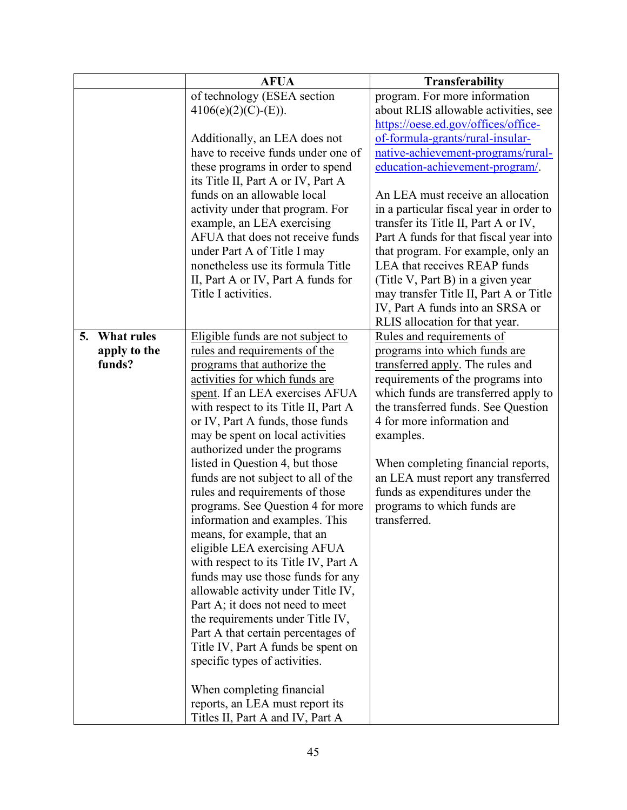|    |                   | <b>AFUA</b>                          | <b>Transferability</b>                  |
|----|-------------------|--------------------------------------|-----------------------------------------|
|    |                   | of technology (ESEA section          | program. For more information           |
|    |                   | $4106(e)(2)(C)-(E)).$                | about RLIS allowable activities, see    |
|    |                   |                                      | https://oese.ed.gov/offices/office-     |
|    |                   | Additionally, an LEA does not        | of-formula-grants/rural-insular-        |
|    |                   | have to receive funds under one of   | native-achievement-programs/rural-      |
|    |                   | these programs in order to spend     | education-achievement-program/.         |
|    |                   | its Title II, Part A or IV, Part A   |                                         |
|    |                   | funds on an allowable local          | An LEA must receive an allocation       |
|    |                   | activity under that program. For     | in a particular fiscal year in order to |
|    |                   | example, an LEA exercising           | transfer its Title II, Part A or IV,    |
|    |                   | AFUA that does not receive funds     | Part A funds for that fiscal year into  |
|    |                   | under Part A of Title I may          | that program. For example, only an      |
|    |                   | nonetheless use its formula Title    | LEA that receives REAP funds            |
|    |                   | II, Part A or IV, Part A funds for   | (Title V, Part B) in a given year       |
|    |                   | Title I activities.                  | may transfer Title II, Part A or Title  |
|    |                   |                                      | IV, Part A funds into an SRSA or        |
|    |                   |                                      | RLIS allocation for that year.          |
| 5. | <b>What rules</b> | Eligible funds are not subject to    | Rules and requirements of               |
|    | apply to the      | rules and requirements of the        | programs into which funds are           |
|    | funds?            | programs that authorize the          | transferred apply. The rules and        |
|    |                   | activities for which funds are       | requirements of the programs into       |
|    |                   | spent. If an LEA exercises AFUA      | which funds are transferred apply to    |
|    |                   | with respect to its Title II, Part A | the transferred funds. See Question     |
|    |                   | or IV, Part A funds, those funds     | 4 for more information and              |
|    |                   | may be spent on local activities     | examples.                               |
|    |                   | authorized under the programs        |                                         |
|    |                   | listed in Question 4, but those      | When completing financial reports,      |
|    |                   | funds are not subject to all of the  | an LEA must report any transferred      |
|    |                   | rules and requirements of those      | funds as expenditures under the         |
|    |                   | programs. See Question 4 for more    | programs to which funds are             |
|    |                   | information and examples. This       | transferred.                            |
|    |                   | means, for example, that an          |                                         |
|    |                   | eligible LEA exercising AFUA         |                                         |
|    |                   | with respect to its Title IV, Part A |                                         |
|    |                   | funds may use those funds for any    |                                         |
|    |                   | allowable activity under Title IV,   |                                         |
|    |                   | Part A; it does not need to meet     |                                         |
|    |                   | the requirements under Title IV,     |                                         |
|    |                   | Part A that certain percentages of   |                                         |
|    |                   | Title IV, Part A funds be spent on   |                                         |
|    |                   | specific types of activities.        |                                         |
|    |                   |                                      |                                         |
|    |                   | When completing financial            |                                         |
|    |                   | reports, an LEA must report its      |                                         |
|    |                   | Titles II, Part A and IV, Part A     |                                         |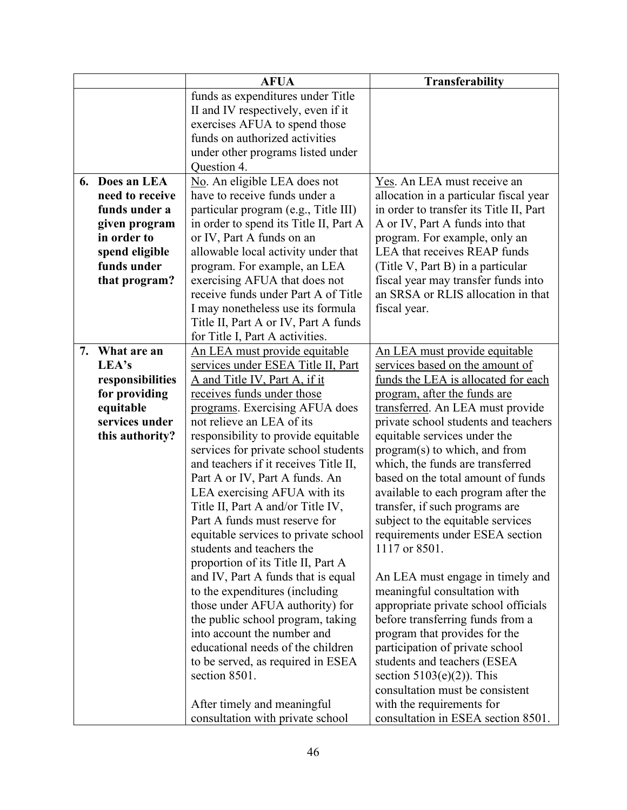|    |                  | <b>AFUA</b>                            | <b>Transferability</b>                  |
|----|------------------|----------------------------------------|-----------------------------------------|
|    |                  | funds as expenditures under Title      |                                         |
|    |                  | II and IV respectively, even if it     |                                         |
|    |                  | exercises AFUA to spend those          |                                         |
|    |                  | funds on authorized activities         |                                         |
|    |                  | under other programs listed under      |                                         |
|    |                  | Question 4.                            |                                         |
|    | 6. Does an LEA   | No. An eligible LEA does not           | Yes. An LEA must receive an             |
|    | need to receive  | have to receive funds under a          | allocation in a particular fiscal year  |
|    | funds under a    | particular program (e.g., Title III)   | in order to transfer its Title II, Part |
|    | given program    | in order to spend its Title II, Part A | A or IV, Part A funds into that         |
|    | in order to      | or IV, Part A funds on an              | program. For example, only an           |
|    | spend eligible   | allowable local activity under that    | LEA that receives REAP funds            |
|    | funds under      | program. For example, an LEA           | (Title V, Part B) in a particular       |
|    | that program?    | exercising AFUA that does not          | fiscal year may transfer funds into     |
|    |                  | receive funds under Part A of Title    | an SRSA or RLIS allocation in that      |
|    |                  | I may nonetheless use its formula      | fiscal year.                            |
|    |                  | Title II, Part A or IV, Part A funds   |                                         |
|    |                  | for Title I, Part A activities.        |                                         |
| 7. | What are an      | <u>An LEA must provide equitable</u>   | <u>An LEA must provide equitable</u>    |
|    | LEA's            | services under ESEA Title II, Part     | services based on the amount of         |
|    | responsibilities | A and Title IV, Part A, if it          | funds the LEA is allocated for each     |
|    | for providing    | receives funds under those             | program, after the funds are            |
|    | equitable        | programs. Exercising AFUA does         | transferred. An LEA must provide        |
|    | services under   | not relieve an LEA of its              | private school students and teachers    |
|    | this authority?  | responsibility to provide equitable    | equitable services under the            |
|    |                  | services for private school students   | program(s) to which, and from           |
|    |                  | and teachers if it receives Title II,  | which, the funds are transferred        |
|    |                  | Part A or IV, Part A funds. An         | based on the total amount of funds      |
|    |                  | LEA exercising AFUA with its           | available to each program after the     |
|    |                  | Title II, Part A and/or Title IV,      | transfer, if such programs are          |
|    |                  | Part A funds must reserve for          | subject to the equitable services       |
|    |                  | equitable services to private school   | requirements under ESEA section         |
|    |                  | students and teachers the              | 1117 or 8501.                           |
|    |                  | proportion of its Title II, Part A     |                                         |
|    |                  | and IV, Part A funds that is equal     | An LEA must engage in timely and        |
|    |                  | to the expenditures (including         | meaningful consultation with            |
|    |                  | those under AFUA authority) for        | appropriate private school officials    |
|    |                  | the public school program, taking      | before transferring funds from a        |
|    |                  | into account the number and            | program that provides for the           |
|    |                  | educational needs of the children      | participation of private school         |
|    |                  | to be served, as required in ESEA      | students and teachers (ESEA             |
|    |                  | section 8501.                          | section $5103(e)(2)$ ). This            |
|    |                  |                                        | consultation must be consistent         |
|    |                  | After timely and meaningful            | with the requirements for               |
|    |                  | consultation with private school       | consultation in ESEA section 8501.      |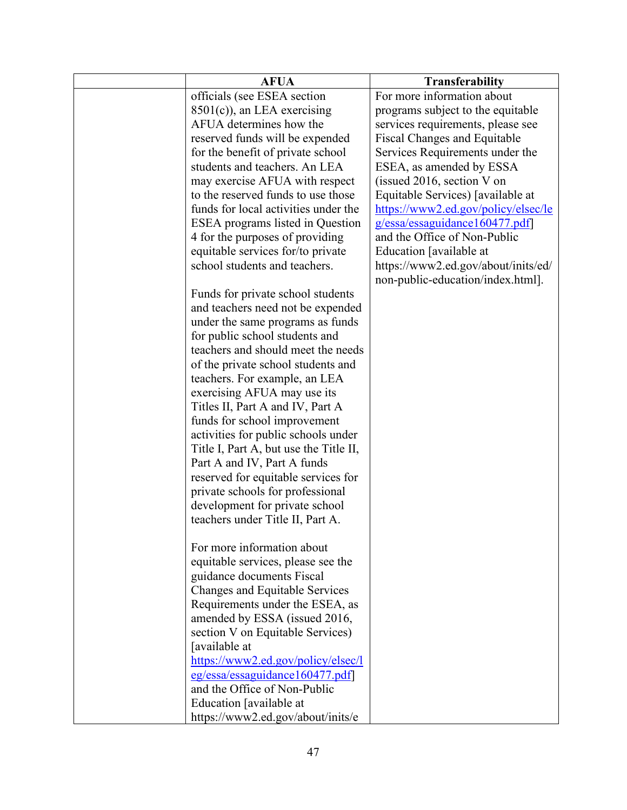| <b>AFUA</b>                             | Transferability                     |
|-----------------------------------------|-------------------------------------|
| officials (see ESEA section             | For more information about          |
| $8501(c)$ , an LEA exercising           | programs subject to the equitable   |
| AFUA determines how the                 | services requirements, please see   |
| reserved funds will be expended         | Fiscal Changes and Equitable        |
| for the benefit of private school       | Services Requirements under the     |
| students and teachers. An LEA           | ESEA, as amended by ESSA            |
| may exercise AFUA with respect          | (issued 2016, section $V$ on        |
| to the reserved funds to use those      | Equitable Services) [available at   |
| funds for local activities under the    | https://www2.ed.gov/policy/elsec/le |
| <b>ESEA</b> programs listed in Question | g/essa/essaguidance160477.pdf       |
| 4 for the purposes of providing         | and the Office of Non-Public        |
| equitable services for/to private       | Education [available at             |
| school students and teachers.           | https://www2.ed.gov/about/inits/ed/ |
|                                         | non-public-education/index.html].   |
| Funds for private school students       |                                     |
| and teachers need not be expended       |                                     |
| under the same programs as funds        |                                     |
| for public school students and          |                                     |
| teachers and should meet the needs      |                                     |
| of the private school students and      |                                     |
| teachers. For example, an LEA           |                                     |
| exercising AFUA may use its             |                                     |
| Titles II, Part A and IV, Part A        |                                     |
| funds for school improvement            |                                     |
| activities for public schools under     |                                     |
| Title I, Part A, but use the Title II,  |                                     |
| Part A and IV, Part A funds             |                                     |
| reserved for equitable services for     |                                     |
| private schools for professional        |                                     |
| development for private school          |                                     |
| teachers under Title II, Part A.        |                                     |
|                                         |                                     |
| For more information about              |                                     |
| equitable services, please see the      |                                     |
| guidance documents Fiscal               |                                     |
| Changes and Equitable Services          |                                     |
| Requirements under the ESEA, as         |                                     |
| amended by ESSA (issued 2016,           |                                     |
| section V on Equitable Services)        |                                     |
| [available at                           |                                     |
| https://www2.ed.gov/policy/elsec/l      |                                     |
| eg/essa/essaguidance160477.pdf          |                                     |
| and the Office of Non-Public            |                                     |
| Education [available at                 |                                     |
| https://www2.ed.gov/about/inits/e       |                                     |